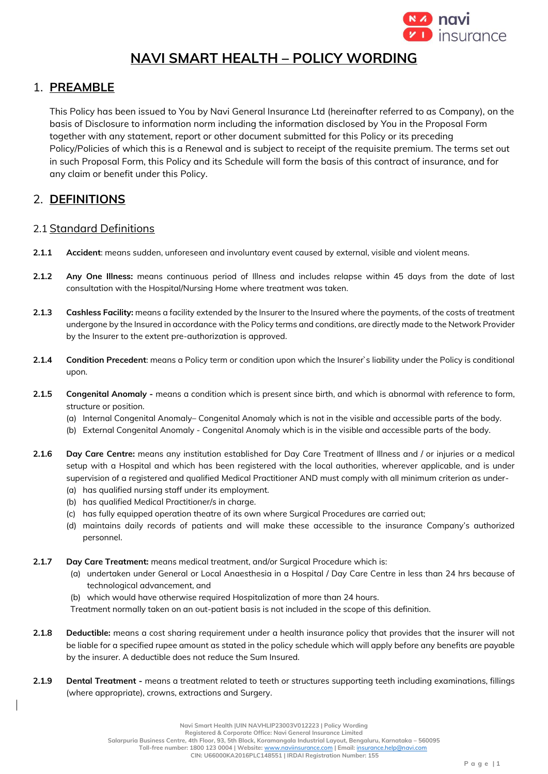

# **NAVI SMART HEALTH – POLICY WORDING**

# 1. **PREAMBLE**

This Policy has been issued to You by Navi General Insurance Ltd (hereinafter referred to as Company), on the basis of Disclosure to information norm including the information disclosed by You in the Proposal Form together with any statement, report or other document submitted for this Policy or its preceding Policy/Policies of which this is a Renewal and is subject to receipt of the requisite premium. The terms set out in such Proposal Form, this Policy and its Schedule will form the basis of this contract of insurance, and for any claim or benefit under this Policy.

# 2. **DEFINITIONS**

# 2.1 Standard Definitions

- **2.1.1 Accident**: means sudden, unforeseen and involuntary event caused by external, visible and violent means.
- **2.1.2 Any One Illness:** means continuous period of Illness and includes relapse within 45 days from the date of last consultation with the Hospital/Nursing Home where treatment was taken.
- **2.1.3 Cashless Facility:** means a facility extended by the Insurer to the Insured where the payments, of the costs of treatment undergone by the Insured in accordance with the Policy terms and conditions, are directly made to the Network Provider by the Insurer to the extent pre-authorization is approved.
- **2.1.4 Condition Precedent**: means a Policy term or condition upon which the Insurer`s liability under the Policy is conditional upon.
- **2.1.5 Congenital Anomaly -** means a condition which is present since birth, and which is abnormal with reference to form, structure or position.
	- (a) Internal Congenital Anomaly– Congenital Anomaly which is not in the visible and accessible parts of the body.
	- (b) External Congenital Anomaly Congenital Anomaly which is in the visible and accessible parts of the body.
- **2.1.6 Day Care Centre:** means any institution established for Day Care Treatment of Illness and / or injuries or a medical setup with a Hospital and which has been registered with the local authorities, wherever applicable, and is under supervision of a registered and qualified Medical Practitioner AND must comply with all minimum criterion as under-
	- (a) has qualified nursing staff under its employment.
	- (b) has qualified Medical Practitioner/s in charge.
	- (c) has fully equipped operation theatre of its own where Surgical Procedures are carried out;
	- (d) maintains daily records of patients and will make these accessible to the insurance Company's authorized personnel.
- **2.1.7 Day Care Treatment:** means medical treatment, and/or Surgical Procedure which is:
	- (a) undertaken under General or Local Anaesthesia in a Hospital / Day Care Centre in less than 24 hrs because of technological advancement, and
	- (b) which would have otherwise required Hospitalization of more than 24 hours.
	- Treatment normally taken on an out-patient basis is not included in the scope of this definition.
- **2.1.8 Deductible:** means a cost sharing requirement under a health insurance policy that provides that the insurer will not be liable for a specified rupee amount as stated in the policy schedule which will apply before any benefits are payable by the insurer. A deductible does not reduce the Sum Insured.
- **2.1.9 Dental Treatment -** means a treatment related to teeth or structures supporting teeth including examinations, fillings (where appropriate), crowns, extractions and Surgery.

**Salarpuria Business Centre, 4th Floor, 93, 5th Block, Koramangala Industrial Layout, Bengaluru, Karnataka – 560095**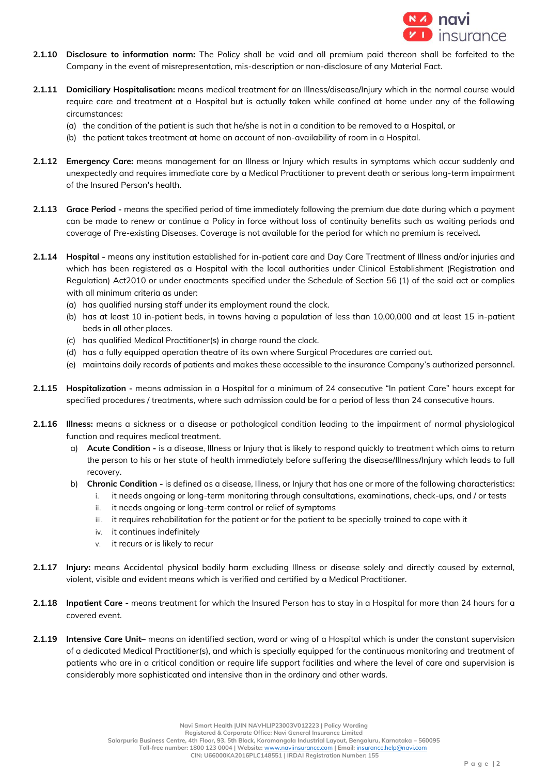

- **2.1.10 Disclosure to information norm:** The Policy shall be void and all premium paid thereon shall be forfeited to the Company in the event of misrepresentation, mis-description or non-disclosure of any Material Fact.
- **2.1.11 Domiciliary Hospitalisation:** means medical treatment for an Illness/disease/Injury which in the normal course would require care and treatment at a Hospital but is actually taken while confined at home under any of the following circumstances:
	- (a) the condition of the patient is such that he/she is not in a condition to be removed to a Hospital, or
	- (b) the patient takes treatment at home on account of non-availability of room in a Hospital.
- **2.1.12 Emergency Care:** means management for an Illness or Injury which results in symptoms which occur suddenly and unexpectedly and requires immediate care by a Medical Practitioner to prevent death or serious long-term impairment of the Insured Person's health.
- **2.1.13 Grace Period -** means the specified period of time immediately following the premium due date during which a payment can be made to renew or continue a Policy in force without loss of continuity benefits such as waiting periods and coverage of Pre-existing Diseases. Coverage is not available for the period for which no premium is received**.**
- **2.1.14 Hospital -** means any institution established for in-patient care and Day Care Treatment of Illness and/or injuries and which has been registered as a Hospital with the local authorities under Clinical Establishment (Registration and Regulation) Act2010 or under enactments specified under the Schedule of Section 56 (1) of the said act or complies with all minimum criteria as under:
	- (a) has qualified nursing staff under its employment round the clock.
	- (b) has at least 10 in-patient beds, in towns having a population of less than 10,00,000 and at least 15 in-patient beds in all other places.
	- (c) has qualified Medical Practitioner(s) in charge round the clock.
	- (d) has a fully equipped operation theatre of its own where Surgical Procedures are carried out.
	- (e) maintains daily records of patients and makes these accessible to the insurance Company's authorized personnel.
- **2.1.15 Hospitalization -** means admission in a Hospital for a minimum of 24 consecutive "In patient Care" hours except for specified procedures / treatments, where such admission could be for a period of less than 24 consecutive hours.
- **2.1.16 Illness:** means a sickness or a disease or pathological condition leading to the impairment of normal physiological function and requires medical treatment.
	- a) **Acute Condition -** is a disease, Illness or Injury that is likely to respond quickly to treatment which aims to return the person to his or her state of health immediately before suffering the disease/Illness/Injury which leads to full recovery.
	- b) **Chronic Condition -** is defined as a disease, Illness, or Injury that has one or more of the following characteristics:
		- i. it needs ongoing or long-term monitoring through consultations, examinations, check-ups, and / or tests
		- ii. it needs ongoing or long-term control or relief of symptoms
		- iii. it requires rehabilitation for the patient or for the patient to be specially trained to cope with it
		- iv. it continues indefinitely
		- v. it recurs or is likely to recur
- **2.1.17 Injury:** means Accidental physical bodily harm excluding Illness or disease solely and directly caused by external, violent, visible and evident means which is verified and certified by a Medical Practitioner.
- **2.1.18 Inpatient Care -** means treatment for which the Insured Person has to stay in a Hospital for more than 24 hours for a covered event.
- **2.1.19 Intensive Care Unit–** means an identified section, ward or wing of a Hospital which is under the constant supervision of a dedicated Medical Practitioner(s), and which is specially equipped for the continuous monitoring and treatment of patients who are in a critical condition or require life support facilities and where the level of care and supervision is considerably more sophisticated and intensive than in the ordinary and other wards.

**Registered & Corporate Office: Navi General Insurance Limited**

**Salarpuria Business Centre, 4th Floor, 93, 5th Block, Koramangala Industrial Layout, Bengaluru, Karnataka – 560095**

 **Toll-free number: 1800 123 0004 | Website:** [www.naviinsurance.com](http://www.naviinsurance.com/) **| Email:** [insurance.help@navi.com](mailto:insurance.help@navi.com) **CIN: U66000KA2016PLC148551 | IRDAI Registration Number: 155**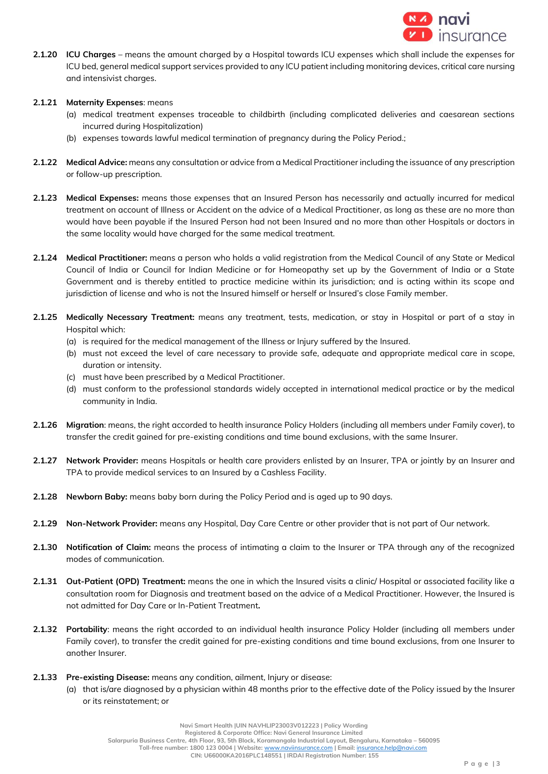

- **2.1.20 ICU Charges** means the amount charged by a Hospital towards ICU expenses which shall include the expenses for ICU bed, general medical support services provided to any ICU patient including monitoring devices, critical care nursing and intensivist charges.
- **2.1.21 Maternity Expenses**: means
	- (a) medical treatment expenses traceable to childbirth (including complicated deliveries and caesarean sections incurred during Hospitalization)
	- (b) expenses towards lawful medical termination of pregnancy during the Policy Period.;
- **2.1.22 Medical Advice:** means any consultation or advice from a Medical Practitioner including the issuance of any prescription or follow-up prescription.
- **2.1.23 Medical Expenses:** means those expenses that an Insured Person has necessarily and actually incurred for medical treatment on account of Illness or Accident on the advice of a Medical Practitioner, as long as these are no more than would have been payable if the Insured Person had not been Insured and no more than other Hospitals or doctors in the same locality would have charged for the same medical treatment.
- **2.1.24 Medical Practitioner:** means a person who holds a valid registration from the Medical Council of any State or Medical Council of India or Council for Indian Medicine or for Homeopathy set up by the Government of India or a State Government and is thereby entitled to practice medicine within its jurisdiction; and is acting within its scope and jurisdiction of license and who is not the Insured himself or herself or Insured's close Family member.
- **2.1.25 Medically Necessary Treatment:** means any treatment, tests, medication, or stay in Hospital or part of a stay in Hospital which:
	- (a) is required for the medical management of the Illness or Injury suffered by the Insured.
	- (b) must not exceed the level of care necessary to provide safe, adequate and appropriate medical care in scope, duration or intensity.
	- (c) must have been prescribed by a Medical Practitioner.
	- (d) must conform to the professional standards widely accepted in international medical practice or by the medical community in India.
- **2.1.26 Migration**: means, the right accorded to health insurance Policy Holders (including all members under Family cover), to transfer the credit gained for pre-existing conditions and time bound exclusions, with the same Insurer.
- **2.1.27 Network Provider:** means Hospitals or health care providers enlisted by an Insurer, TPA or jointly by an Insurer and TPA to provide medical services to an Insured by a Cashless Facility.
- **2.1.28 Newborn Baby:** means baby born during the Policy Period and is aged up to 90 days.
- **2.1.29 Non-Network Provider:** means any Hospital, Day Care Centre or other provider that is not part of Our network.
- **2.1.30 Notification of Claim:** means the process of intimating a claim to the Insurer or TPA through any of the recognized modes of communication.
- **2.1.31 Out-Patient (OPD) Treatment:** means the one in which the Insured visits a clinic/ Hospital or associated facility like a consultation room for Diagnosis and treatment based on the advice of a Medical Practitioner. However, the Insured is not admitted for Day Care or In-Patient Treatment**.**
- **2.1.32 Portability**: means the right accorded to an individual health insurance Policy Holder (including all members under Family cover), to transfer the credit gained for pre-existing conditions and time bound exclusions, from one Insurer to another Insurer.
- **2.1.33 Pre-existing Disease:** means any condition, ailment, Injury or disease:
	- (a) that is/are diagnosed by a physician within 48 months prior to the effective date of the Policy issued by the Insurer or its reinstatement; or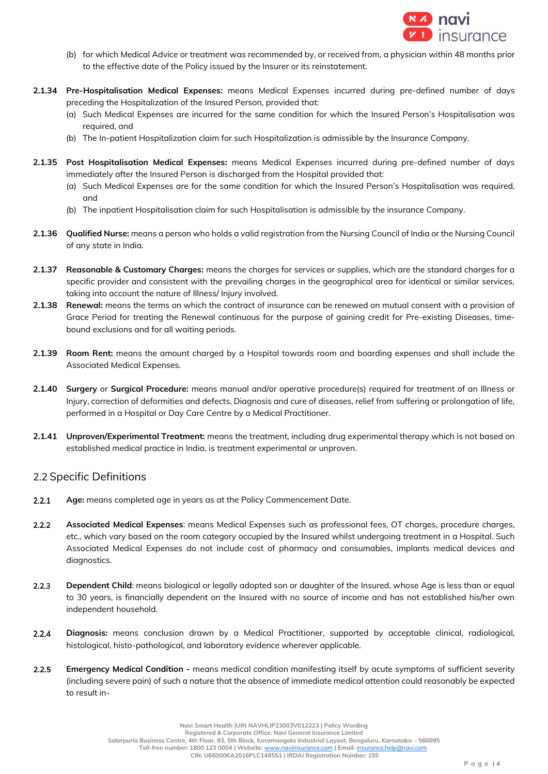

- (b) for which Medical Advice or treatment was recommended by, or received from, a physician within 48 months prior to the effective date of the Policy issued by the Insurer or its reinstatement.
- **2.1.34 Pre-Hospitalisation Medical Expenses:** means Medical Expenses incurred during pre-defined number of days preceding the Hospitalization of the Insured Person, provided that:
	- (a) Such Medical Expenses are incurred for the same condition for which the Insured Person's Hospitalisation was required, and
	- (b) The In-patient Hospitalization claim for such Hospitalization is admissible by the Insurance Company.
- **2.1.35 Post Hospitalisation Medical Expenses:** means Medical Expenses incurred during pre-defined number of days immediately after the Insured Person is discharged from the Hospital provided that:
	- (a) Such Medical Expenses are for the same condition for which the Insured Person's Hospitalisation was required, and
	- (b) The inpatient Hospitalisation claim for such Hospitalisation is admissible by the insurance Company.
- **2.1.36 Qualified Nurse:** means a person who holds a valid registration from the Nursing Council of India or the Nursing Council of any state in India.
- **2.1.37 Reasonable & Customary Charges:** means the charges for services or supplies, which are the standard charges for a specific provider and consistent with the prevailing charges in the geographical area for identical or similar services, taking into account the nature of Illness/ Injury involved.
- **2.1.38 Renewal:** means the terms on which the contract of insurance can be renewed on mutual consent with a provision of Grace Period for treating the Renewal continuous for the purpose of gaining credit for Pre-existing Diseases, timebound exclusions and for all waiting periods.
- **2.1.39 Room Rent:** means the amount charged by a Hospital towards room and boarding expenses and shall include the Associated Medical Expenses.
- **2.1.40 Surgery** or **Surgical Procedure:** means manual and/or operative procedure(s) required for treatment of an Illness or Injury, correction of deformities and defects, Diagnosis and cure of diseases, relief from suffering or prolongation of life, performed in a Hospital or Day Care Centre by a Medical Practitioner.
- **2.1.41 Unproven/Experimental Treatment:** means the treatment, including drug experimental therapy which is not based on established medical practice in India, is treatment experimental or unproven.

# 2.2 Specific Definitions

- $2.2.1$ **Age:** means completed age in years as at the Policy Commencement Date.
- $2.2.2$ **Associated Medical Expenses**: means Medical Expenses such as professional fees, OT charges, procedure charges, etc., which vary based on the room category occupied by the Insured whilst undergoing treatment in a Hospital. Such Associated Medical Expenses do not include cost of pharmacy and consumables, implants medical devices and diagnostics.
- $2.2.3$ **Dependent Child**: means biological or legally adopted son or daughter of the Insured, whose Age is less than or equal to 30 years, is financially dependent on the Insured with no source of income and has not established his/her own independent household.
- **Diagnosis:** means conclusion drawn by a Medical Practitioner, supported by acceptable clinical, radiological,  $2.2.4$ histological, histo-pathological, and laboratory evidence wherever applicable.
- $2.2.5$ **Emergency Medical Condition -** means medical condition manifesting itself by acute symptoms of sufficient severity (including severe pain) of such a nature that the absence of immediate medical attention could reasonably be expected to result in-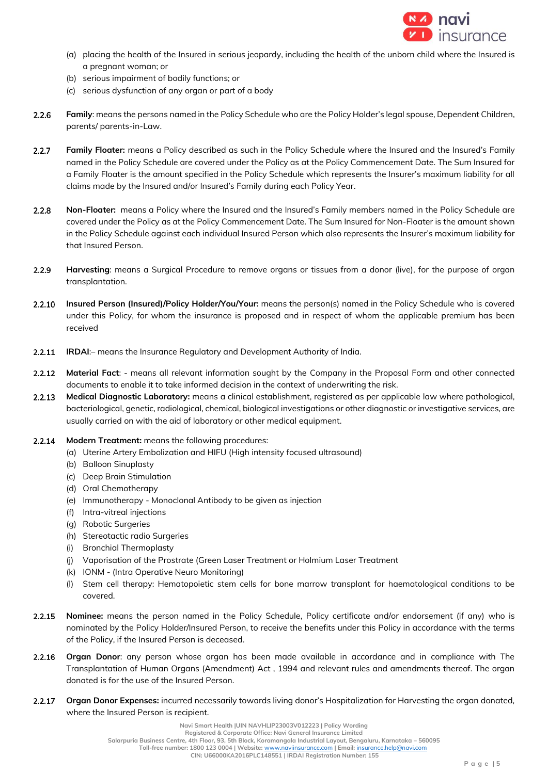

- (a) placing the health of the Insured in serious jeopardy, including the health of the unborn child where the Insured is a pregnant woman; or
- (b) serious impairment of bodily functions; or
- (c) serious dysfunction of any organ or part of a body
- **Family**: means the persons named in the Policy Schedule who are the Policy Holder's legal spouse, Dependent Children,  $2.2.6$ parents/ parents-in-Law.
- $2.2.7$ **Family Floater:** means a Policy described as such in the Policy Schedule where the Insured and the Insured's Family named in the Policy Schedule are covered under the Policy as at the Policy Commencement Date. The Sum Insured for a Family Floater is the amount specified in the Policy Schedule which represents the Insurer's maximum liability for all claims made by the Insured and/or Insured's Family during each Policy Year.
- $2.2.8$ **Non-Floater:** means a Policy where the Insured and the Insured's Family members named in the Policy Schedule are covered under the Policy as at the Policy Commencement Date. The Sum Insured for Non-Floater is the amount shown in the Policy Schedule against each individual Insured Person which also represents the Insurer's maximum liability for that Insured Person.
- $2.2.9$ **Harvesting**: means a Surgical Procedure to remove organs or tissues from a donor (live), for the purpose of organ transplantation.
- **Insured Person (Insured)/Policy Holder/You/Your:** means the person(s) named in the Policy Schedule who is covered  $2.2.10$ under this Policy, for whom the insurance is proposed and in respect of whom the applicable premium has been received
- **IRDAI**:– means the Insurance Regulatory and Development Authority of India.  $2.2.11$
- **Material Fact**: means all relevant information sought by the Company in the Proposal Form and other connected  $2.2.12$ documents to enable it to take informed decision in the context of underwriting the risk.
- **Medical Diagnostic Laboratory:** means a clinical establishment, registered as per applicable law where pathological,  $2.2.13$ bacteriological, genetic, radiological, chemical, biological investigations or other diagnostic or investigative services, are usually carried on with the aid of laboratory or other medical equipment.
- $2.2.14$ **Modern Treatment:** means the following procedures:
	- (a) Uterine Artery Embolization and HIFU (High intensity focused ultrasound)
	- (b) Balloon Sinuplasty
	- (c) Deep Brain Stimulation
	- (d) Oral Chemotherapy
	- (e) Immunotherapy Monoclonal Antibody to be given as injection
	- (f) Intra-vitreal injections
	- (g) Robotic Surgeries
	- (h) Stereotactic radio Surgeries
	- (i) Bronchial Thermoplasty
	- (j) Vaporisation of the Prostrate (Green Laser Treatment or Holmium Laser Treatment
	- (k) IONM (Intra Operative Neuro Monitoring)
	- (l) Stem cell therapy: Hematopoietic stem cells for bone marrow transplant for haematological conditions to be covered.
- $2.2.15$ **Nominee:** means the person named in the Policy Schedule, Policy certificate and/or endorsement (if any) who is nominated by the Policy Holder/Insured Person, to receive the benefits under this Policy in accordance with the terms of the Policy, if the Insured Person is deceased.
- $2.2.16$ **Organ Donor**: any person whose organ has been made available in accordance and in compliance with The Transplantation of Human Organs (Amendment) Act , 1994 and relevant rules and amendments thereof. The organ donated is for the use of the Insured Person.
- $2.2.17$ **Organ Donor Expenses:** incurred necessarily towards living donor's Hospitalization for Harvesting the organ donated, where the Insured Person is recipient.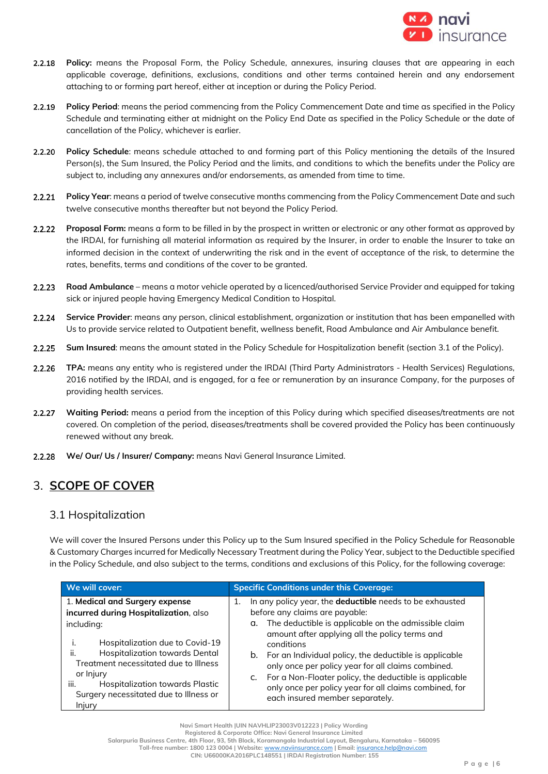

- **Policy:** means the Proposal Form, the Policy Schedule, annexures, insuring clauses that are appearing in each 2.2.18 applicable coverage, definitions, exclusions, conditions and other terms contained herein and any endorsement attaching to or forming part hereof, either at inception or during the Policy Period.
- **Policy Period**: means the period commencing from the Policy Commencement Date and time as specified in the Policy  $2.2.19$ Schedule and terminating either at midnight on the Policy End Date as specified in the Policy Schedule or the date of cancellation of the Policy, whichever is earlier.
- $2.2.20$ **Policy Schedule**: means schedule attached to and forming part of this Policy mentioning the details of the Insured Person(s), the Sum Insured, the Policy Period and the limits, and conditions to which the benefits under the Policy are subject to, including any annexures and/or endorsements, as amended from time to time.
- $2.2.21$ **Policy Year**: means a period of twelve consecutive months commencing from the Policy Commencement Date and such twelve consecutive months thereafter but not beyond the Policy Period.
- **Proposal Form:** means a form to be filled in by the prospect in written or electronic or any other format as approved by  $2.2.22$ the IRDAI, for furnishing all material information as required by the Insurer, in order to enable the Insurer to take an informed decision in the context of underwriting the risk and in the event of acceptance of the risk, to determine the rates, benefits, terms and conditions of the cover to be granted.
- $2.2.23$ **Road Ambulance** – means a motor vehicle operated by a licenced/authorised Service Provider and equipped for taking sick or injured people having Emergency Medical Condition to Hospital.
- 2.2.24 **Service Provider**: means any person, clinical establishment, organization or institution that has been empanelled with Us to provide service related to Outpatient benefit, wellness benefit, Road Ambulance and Air Ambulance benefit.
- $2.2.25$ **Sum Insured**: means the amount stated in the Policy Schedule for Hospitalization benefit (section 3.1 of the Policy).
- **TPA:** means any entity who is registered under the IRDAI (Third Party Administrators Health Services) Regulations,  $2.2.26$ 2016 notified by the IRDAI, and is engaged, for a fee or remuneration by an insurance Company, for the purposes of providing health services.
- 2.2.27 **Waiting Period:** means a period from the inception of this Policy during which specified diseases/treatments are not covered. On completion of the period, diseases/treatments shall be covered provided the Policy has been continuously renewed without any break.
- 2.2.28 **We/ Our/ Us / Insurer/ Company:** means Navi General Insurance Limited.

# 3. **SCOPE OF COVER**

# 3.1 Hospitalization

We will cover the Insured Persons under this Policy up to the Sum Insured specified in the Policy Schedule for Reasonable & Customary Charges incurred for Medically Necessary Treatment during the Policy Year, subject to the Deductible specified in the Policy Schedule, and also subject to the terms, conditions and exclusions of this Policy, for the following coverage:

| We will cover:                                                                                                                                                                                                                                                                                                                | <b>Specific Conditions under this Coverage:</b>                                                                                                                                                                                                                                                                                                                                                                                                                                                                   |
|-------------------------------------------------------------------------------------------------------------------------------------------------------------------------------------------------------------------------------------------------------------------------------------------------------------------------------|-------------------------------------------------------------------------------------------------------------------------------------------------------------------------------------------------------------------------------------------------------------------------------------------------------------------------------------------------------------------------------------------------------------------------------------------------------------------------------------------------------------------|
| 1. Medical and Surgery expense<br>incurred during Hospitalization, also<br>including:<br>Hospitalization due to Covid-19<br>Hospitalization towards Dental<br>ii.<br>Treatment necessitated due to Illness<br>or <i>Injury</i><br>Hospitalization towards Plastic<br>iii.<br>Surgery necessitated due to Illness or<br>Injury | In any policy year, the deductible needs to be exhausted<br>1.<br>before any claims are payable:<br>The deductible is applicable on the admissible claim<br>α.<br>amount after applying all the policy terms and<br>conditions<br>For an Individual policy, the deductible is applicable<br>b.<br>only once per policy year for all claims combined.<br>For a Non-Floater policy, the deductible is applicable<br>C.<br>only once per policy year for all claims combined, for<br>each insured member separately. |

**Salarpuria Business Centre, 4th Floor, 93, 5th Block, Koramangala Industrial Layout, Bengaluru, Karnataka – 560095**

 **Toll-free number: 1800 123 0004 | Website:** [www.naviinsurance.com](http://www.naviinsurance.com/) **| Email:** [insurance.help@navi.com](mailto:insurance.help@navi.com)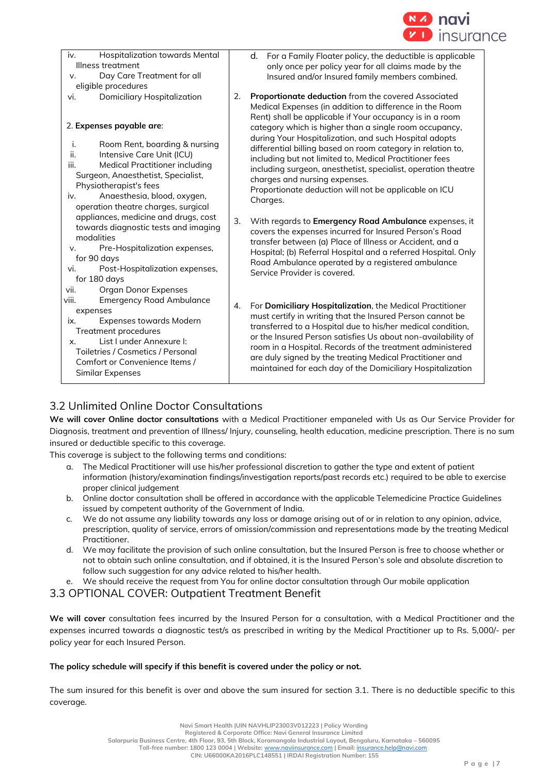

| Hospitalization towards Mental<br>iv.<br>Illness treatment<br>Day Care Treatment for all<br>V.<br>eligible procedures                                                                                                                                             | For a Family Floater policy, the deductible is applicable<br>d.<br>only once per policy year for all claims made by the<br>Insured and/or Insured family members combined.                                                                                                                                                                                                                                                                                                                                                                                                               |
|-------------------------------------------------------------------------------------------------------------------------------------------------------------------------------------------------------------------------------------------------------------------|------------------------------------------------------------------------------------------------------------------------------------------------------------------------------------------------------------------------------------------------------------------------------------------------------------------------------------------------------------------------------------------------------------------------------------------------------------------------------------------------------------------------------------------------------------------------------------------|
| <b>Domiciliary Hospitalization</b><br>vi.<br>2. Expenses payable are:<br>j.<br>Room Rent, boarding & nursing<br>ii.<br>Intensive Care Unit (ICU)<br><b>Medical Practitioner including</b><br>iii.<br>Surgeon, Anaesthetist, Specialist,<br>Physiotherapist's fees | Proportionate deduction from the covered Associated<br>2.<br>Medical Expenses (in addition to difference in the Room<br>Rent) shall be applicable if Your occupancy is in a room<br>category which is higher than a single room occupancy,<br>during Your Hospitalization, and such Hospital adopts<br>differential billing based on room category in relation to,<br>including but not limited to, Medical Practitioner fees<br>including surgeon, anesthetist, specialist, operation theatre<br>charges and nursing expenses.<br>Proportionate deduction will not be applicable on ICU |
| Anaesthesia, blood, oxygen,<br>iv.<br>operation theatre charges, surgical                                                                                                                                                                                         | Charges.                                                                                                                                                                                                                                                                                                                                                                                                                                                                                                                                                                                 |
| appliances, medicine and drugs, cost<br>towards diagnostic tests and imaging<br>modalities<br>Pre-Hospitalization expenses,<br>v.<br>for 90 days<br>vi.<br>Post-Hospitalization expenses,<br>for 180 days<br>vii.<br><b>Organ Donor Expenses</b>                  | 3.<br>With regards to Emergency Road Ambulance expenses, it<br>covers the expenses incurred for Insured Person's Road<br>transfer between (a) Place of Illness or Accident, and a<br>Hospital; (b) Referral Hospital and a referred Hospital. Only<br>Road Ambulance operated by a registered ambulance<br>Service Provider is covered.                                                                                                                                                                                                                                                  |
| <b>Emergency Road Ambulance</b><br>viii.<br>expenses<br><b>Expenses towards Modern</b><br>ix.<br><b>Treatment procedures</b><br>List I under Annexure I:<br>X.<br>Toiletries / Cosmetics / Personal<br>Comfort or Convenience Items /<br>Similar Expenses         | For Domiciliary Hospitalization, the Medical Practitioner<br>4.<br>must certify in writing that the Insured Person cannot be<br>transferred to a Hospital due to his/her medical condition,<br>or the Insured Person satisfies Us about non-availability of<br>room in a Hospital. Records of the treatment administered<br>are duly signed by the treating Medical Practitioner and<br>maintained for each day of the Domiciliary Hospitalization                                                                                                                                       |

# 3.2 Unlimited Online Doctor Consultations

**We will cover Online doctor consultations** with a Medical Practitioner empaneled with Us as Our Service Provider for Diagnosis, treatment and prevention of Illness/ Injury, counseling, health education, medicine prescription. There is no sum insured or deductible specific to this coverage.

This coverage is subject to the following terms and conditions:

- a. The Medical Practitioner will use his/her professional discretion to gather the type and extent of patient information (history/examination findings/investigation reports/past records etc.) required to be able to exercise proper clinical judgement
- b. Online doctor consultation shall be offered in accordance with the applicable Telemedicine Practice Guidelines issued by competent authority of the Government of India.
- c. We do not assume any liability towards any loss or damage arising out of or in relation to any opinion, advice, prescription, quality of service, errors of omission/commission and representations made by the treating Medical Practitioner.
- d. We may facilitate the provision of such online consultation, but the Insured Person is free to choose whether or not to obtain such online consultation, and if obtained, it is the Insured Person's sole and absolute discretion to follow such suggestion for any advice related to his/her health.

We should receive the request from You for online doctor consultation through Our mobile application

# 3.3 OPTIONAL COVER: Outpatient Treatment Benefit

**We will cover** consultation fees incurred by the Insured Person for a consultation, with a Medical Practitioner and the expenses incurred towards a diagnostic test/s as prescribed in writing by the Medical Practitioner up to Rs. 5,000/- per policy year for each Insured Person.

**The policy schedule will specify if this benefit is covered under the policy or not.**

The sum insured for this benefit is over and above the sum insured for section 3.1. There is no deductible specific to this coverage.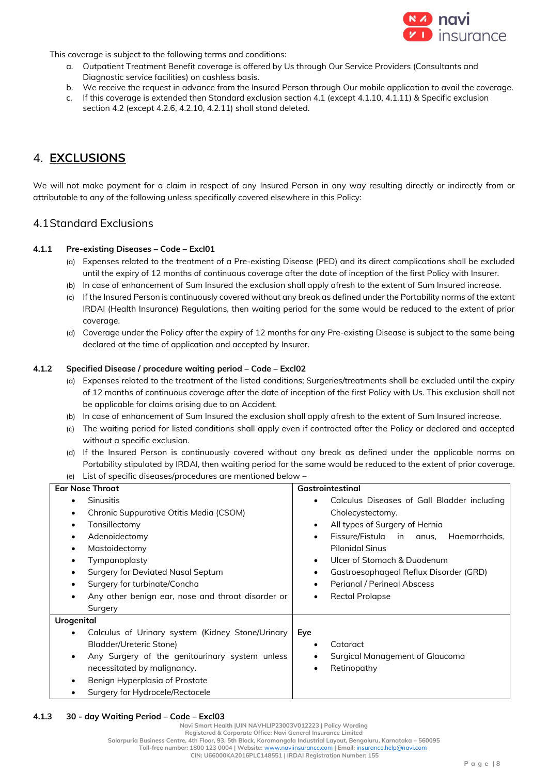

This coverage is subject to the following terms and conditions:

- a. Outpatient Treatment Benefit coverage is offered by Us through Our Service Providers (Consultants and Diagnostic service facilities) on cashless basis.
- b. We receive the request in advance from the Insured Person through Our mobile application to avail the coverage.
- c. If this coverage is extended then Standard exclusion section 4.1 (except 4.1.10, 4.1.11) & Specific exclusion section 4.2 (except 4.2.6, 4.2.10, 4.2.11) shall stand deleted.

# 4. **EXCLUSIONS**

We will not make payment for a claim in respect of any Insured Person in any way resulting directly or indirectly from or attributable to any of the following unless specifically covered elsewhere in this Policy:

# 4.1Standard Exclusions

## **4.1.1 Pre-existing Diseases – Code – Excl01**

- (a) Expenses related to the treatment of a Pre-existing Disease (PED) and its direct complications shall be excluded until the expiry of 12 months of continuous coverage after the date of inception of the first Policy with Insurer.
- (b) In case of enhancement of Sum Insured the exclusion shall apply afresh to the extent of Sum Insured increase.
- (c) If the Insured Person is continuously covered without any break as defined under the Portability norms of the extant IRDAI (Health Insurance) Regulations, then waiting period for the same would be reduced to the extent of prior coverage.
- (d) Coverage under the Policy after the expiry of 12 months for any Pre-existing Disease is subject to the same being declared at the time of application and accepted by Insurer.

## **4.1.2 Specified Disease / procedure waiting period – Code – Excl02**

- (a) Expenses related to the treatment of the listed conditions; Surgeries/treatments shall be excluded until the expiry of 12 months of continuous coverage after the date of inception of the first Policy with Us. This exclusion shall not be applicable for claims arising due to an Accident.
- (b) In case of enhancement of Sum Insured the exclusion shall apply afresh to the extent of Sum Insured increase.
- (c) The waiting period for listed conditions shall apply even if contracted after the Policy or declared and accepted without a specific exclusion.
- (d) If the Insured Person is continuously covered without any break as defined under the applicable norms on Portability stipulated by IRDAI, then waiting period for the same would be reduced to the extent of prior coverage. (e) List of specific diseases/procedures are mentioned below –

| <b>Ear Nose Throat</b>                              | Gastrointestinal                                       |  |
|-----------------------------------------------------|--------------------------------------------------------|--|
| <b>Sinusitis</b>                                    | Calculus Diseases of Gall Bladder including<br>٠       |  |
| Chronic Suppurative Otitis Media (CSOM)             | Cholecystectomy.                                       |  |
| Tonsillectomy                                       | All types of Surgery of Hernia<br>٠                    |  |
| Adenoidectomy                                       | Fissure/Fistula in anus,<br>Haemorrhoids,<br>$\bullet$ |  |
| Mastoidectomy                                       | <b>Pilonidal Sinus</b>                                 |  |
| Tympanoplasty                                       | Ulcer of Stomach & Duodenum<br>$\bullet$               |  |
| <b>Surgery for Deviated Nasal Septum</b>            | Gastroesophageal Reflux Disorder (GRD)<br>٠            |  |
| Surgery for turbinate/Concha                        | <b>Perignal / Perineal Abscess</b><br>$\bullet$        |  |
| Any other benign ear, nose and throat disorder or   | <b>Rectal Prolapse</b><br>٠                            |  |
| Surgery                                             |                                                        |  |
| <b>Urogenital</b>                                   |                                                        |  |
| Calculus of Urinary system (Kidney Stone/Urinary    | Eye                                                    |  |
| Bladder/Ureteric Stone)                             | Cataract<br>٠                                          |  |
| Any Surgery of the genitourinary system unless<br>٠ | Surgical Management of Glaucoma<br>٠                   |  |
| necessitated by malignancy.                         | Retinopathy<br>$\bullet$                               |  |
| Benign Hyperplasia of Prostate                      |                                                        |  |
| Surgery for Hydrocele/Rectocele                     |                                                        |  |

**4.1.3 30 - day Waiting Period – Code – Excl03** 

**Navi Smart Health |UIN NAVHLIP23003V012223 | Policy Wording**

**Registered & Corporate Office: Navi General Insurance Limited**

**Salarpuria Business Centre, 4th Floor, 93, 5th Block, Koramangala Industrial Layout, Bengaluru, Karnataka – 560095**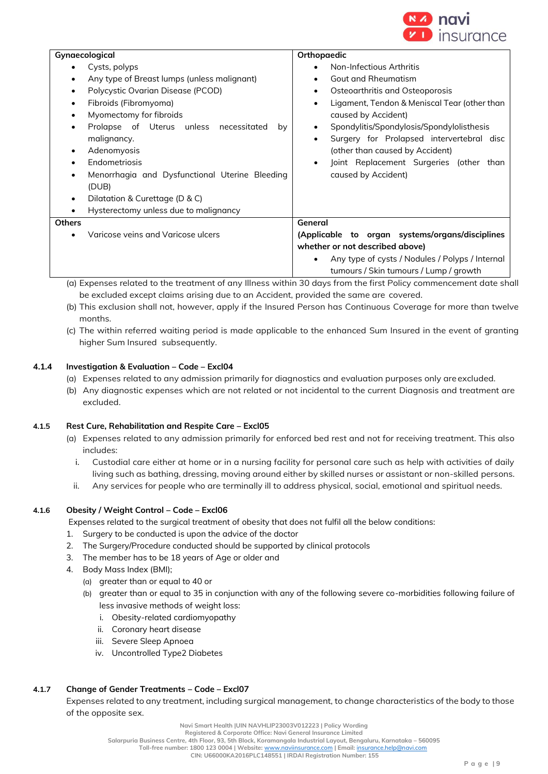

| Gynaecological                                                                                                                                                                                                                                                      | Orthopaedic                                                                                                                                                                                                                                                                                            |
|---------------------------------------------------------------------------------------------------------------------------------------------------------------------------------------------------------------------------------------------------------------------|--------------------------------------------------------------------------------------------------------------------------------------------------------------------------------------------------------------------------------------------------------------------------------------------------------|
| Cysts, polyps<br>٠<br>Any type of Breast lumps (unless malignant)<br>٠<br>Polycystic Ovarian Disease (PCOD)<br>$\bullet$                                                                                                                                            | Non-Infectious Arthritis<br><b>Gout and Rheumatism</b><br>Osteoarthritis and Osteoporosis<br>٠                                                                                                                                                                                                         |
| Fibroids (Fibromyoma)<br>$\bullet$<br>Myomectomy for fibroids<br>$\bullet$<br>Prolapse of Uterus unless necessitated<br>by<br>$\bullet$<br>malignancy.<br>Adenomyosis<br>٠<br>Endometriosis<br>Menorrhagia and Dysfunctional Uterine Bleeding<br>$\bullet$<br>(DUB) | Ligament, Tendon & Meniscal Tear (other than<br>٠<br>caused by Accident)<br>Spondylitis/Spondylosis/Spondylolisthesis<br>$\bullet$<br>Surgery for Prolapsed intervertebral disc<br>٠<br>(other than caused by Accident)<br>Joint Replacement Surgeries (other than<br>$\bullet$<br>caused by Accident) |
| Dilatation & Curettage (D & C)<br>$\bullet$                                                                                                                                                                                                                         |                                                                                                                                                                                                                                                                                                        |
| Hysterectomy unless due to malignancy<br>$\bullet$                                                                                                                                                                                                                  |                                                                                                                                                                                                                                                                                                        |
| <b>Others</b>                                                                                                                                                                                                                                                       | General                                                                                                                                                                                                                                                                                                |
| Varicose veins and Varicose ulcers                                                                                                                                                                                                                                  | (Applicable to organ systems/organs/disciplines<br>whether or not described above)<br>Any type of cysts / Nodules / Polyps / Internal<br>٠<br>tumours / Skin tumours / Lump / growth                                                                                                                   |

(a) Expenses related to the treatment of any Illness within 30 days from the first Policy commencement date shall be excluded except claims arising due to an Accident, provided the same are covered.

- (b) This exclusion shall not, however, apply if the Insured Person has Continuous Coverage for more than twelve months.
- (c) The within referred waiting period is made applicable to the enhanced Sum Insured in the event of granting higher Sum Insured subsequently.

# **4.1.4 Investigation & Evaluation – Code – Excl04**

- (a) Expenses related to any admission primarily for diagnostics and evaluation purposes only areexcluded.
- (b) Any diagnostic expenses which are not related or not incidental to the current Diagnosis and treatment are excluded.

# **4.1.5 Rest Cure, Rehabilitation and Respite Care – Excl05**

- (a) Expenses related to any admission primarily for enforced bed rest and not for receiving treatment. This also includes:
	- i. Custodial care either at home or in a nursing facility for personal care such as help with activities of daily living such as bathing, dressing, moving around either by skilled nurses or assistant or non-skilled persons.
- ii. Any services for people who are terminally ill to address physical, social, emotional and spiritual needs.

## **4.1.6 Obesity / Weight Control – Code – Excl06**

Expenses related to the surgical treatment of obesity that does not fulfil all the below conditions:

- 1. Surgery to be conducted is upon the advice of the doctor
- 2. The Surgery/Procedure conducted should be supported by clinical protocols
- 3. The member has to be 18 years of Age or older and
- 4. Body Mass Index (BMI);
	- (a) greater than or equal to 40 or
	- (b) greater than or equal to 35 in conjunction with any of the following severe co-morbidities following failure of less invasive methods of weight loss:
		- i. Obesity-related cardiomyopathy
		- ii. Coronary heart disease
		- iii. Severe Sleep Apnoea
		- iv. Uncontrolled Type2 Diabetes

# **4.1.7 Change of Gender Treatments – Code – Excl07**

Expenses related to any treatment, including surgical management, to change characteristics of the body to those of the opposite sex.

**Registered & Corporate Office: Navi General Insurance Limited**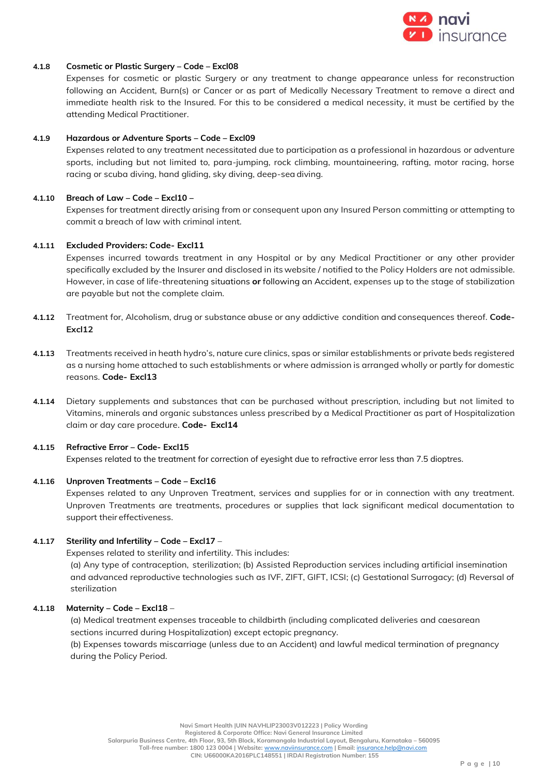

#### **4.1.8 Cosmetic or Plastic Surgery – Code – Excl08**

Expenses for cosmetic or plastic Surgery or any treatment to change appearance unless for reconstruction following an Accident, Burn(s) or Cancer or as part of Medically Necessary Treatment to remove a direct and immediate health risk to the Insured. For this to be considered a medical necessity, it must be certified by the attending Medical Practitioner.

#### **4.1.9 Hazardous or Adventure Sports – Code – Excl09**

Expenses related to any treatment necessitated due to participation as a professional in hazardous or adventure sports, including but not limited to, para-jumping, rock climbing, mountaineering, rafting, motor racing, horse racing or scuba diving, hand gliding, sky diving, deep-sea diving.

#### **4.1.10 Breach of Law – Code – Excl10 –**

Expenses for treatment directly arising from or consequent upon any Insured Person committing or attempting to commit a breach of law with criminal intent.

## **4.1.11 Excluded Providers: Code- Excl11**

Expenses incurred towards treatment in any Hospital or by any Medical Practitioner or any other provider specifically excluded by the Insurer and disclosed in its website / notified to the Policy Holders are not admissible. However, in case of life-threatening situations **or** following an Accident, expenses up to the stage of stabilization are payable but not the complete claim.

- **4.1.12** Treatment for, Alcoholism, drug or substance abuse or any addictive condition and consequences thereof. **Code-Excl12**
- **4.1.13** Treatments received in heath hydro's, nature cure clinics, spas or similar establishments or private beds registered as a nursing home attached to such establishments or where admission is arranged wholly or partly for domestic reasons. **Code- Excl13**
- **4.1.14** Dietary supplements and substances that can be purchased without prescription, including but not limited to Vitamins, minerals and organic substances unless prescribed by a Medical Practitioner as part of Hospitalization claim or day care procedure. **Code- Excl14**

#### **4.1.15 Refractive Error – Code- Excl15**

Expenses related to the treatment for correction of eyesight due to refractive error less than 7.5 dioptres.

#### **4.1.16 Unproven Treatments – Code – Excl16**

Expenses related to any Unproven Treatment, services and supplies for or in connection with any treatment. Unproven Treatments are treatments, procedures or supplies that lack significant medical documentation to support their effectiveness.

#### **4.1.17 Sterility and Infertility – Code – Excl17** –

Expenses related to sterility and infertility. This includes:

(a) Any type of contraception, sterilization; (b) Assisted Reproduction services including artificial insemination and advanced reproductive technologies such as IVF, ZIFT, GIFT, ICSI; (c) Gestational Surrogacy; (d) Reversal of sterilization

#### **4.1.18 Maternity – Code – Excl18** –

(a) Medical treatment expenses traceable to childbirth (including complicated deliveries and caesarean sections incurred during Hospitalization) except ectopic pregnancy.

(b) Expenses towards miscarriage (unless due to an Accident) and lawful medical termination of pregnancy during the Policy Period.

**Registered & Corporate Office: Navi General Insurance Limited**

**Salarpuria Business Centre, 4th Floor, 93, 5th Block, Koramangala Industrial Layout, Bengaluru, Karnataka – 560095 Toll-free number: 1800 123 0004 | Website:** [www.naviinsurance.com](http://www.naviinsurance.com/) **| Email:** [insurance.help@navi.com](mailto:insurance.help@navi.com)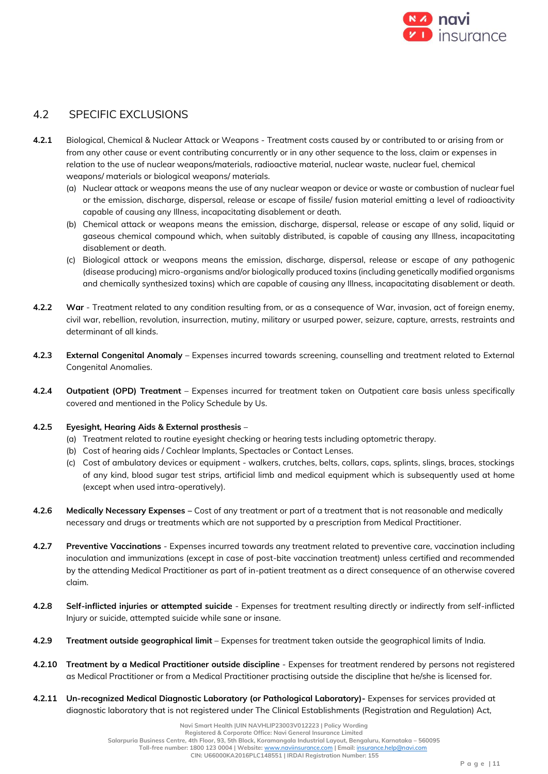

# 4.2 SPECIFIC EXCLUSIONS

- **4.2.1** Biological, Chemical & Nuclear Attack or Weapons Treatment costs caused by or contributed to or arising from or from any other cause or event contributing concurrently or in any other sequence to the loss, claim or expenses in relation to the use of nuclear weapons/materials, radioactive material, nuclear waste, nuclear fuel, chemical weapons/ materials or biological weapons/ materials.
	- (a) Nuclear attack or weapons means the use of any nuclear weapon or device or waste or combustion of nuclear fuel or the emission, discharge, dispersal, release or escape of fissile/ fusion material emitting a level of radioactivity capable of causing any Illness, incapacitating disablement or death.
	- (b) Chemical attack or weapons means the emission, discharge, dispersal, release or escape of any solid, liquid or gaseous chemical compound which, when suitably distributed, is capable of causing any Illness, incapacitating disablement or death.
	- (c) Biological attack or weapons means the emission, discharge, dispersal, release or escape of any pathogenic (disease producing) micro-organisms and/or biologically produced toxins (including genetically modified organisms and chemically synthesized toxins) which are capable of causing any Illness, incapacitating disablement or death.
- **4.2.2 War**  Treatment related to any condition resulting from, or as a consequence of War, invasion, act of foreign enemy, civil war, rebellion, revolution, insurrection, mutiny, military or usurped power, seizure, capture, arrests, restraints and determinant of all kinds.
- **4.2.3 External Congenital Anomaly** Expenses incurred towards screening, counselling and treatment related to External Congenital Anomalies.
- **4.2.4 Outpatient (OPD) Treatment** Expenses incurred for treatment taken on Outpatient care basis unless specifically covered and mentioned in the Policy Schedule by Us.
- **4.2.5 Eyesight, Hearing Aids & External prosthesis**
	- (a) Treatment related to routine eyesight checking or hearing tests including optometric therapy.
	- (b) Cost of hearing aids / Cochlear Implants, Spectacles or Contact Lenses.
	- (c) Cost of ambulatory devices or equipment walkers, crutches, belts, collars, caps, splints, slings, braces, stockings of any kind, blood sugar test strips, artificial limb and medical equipment which is subsequently used at home (except when used intra-operatively).
- **4.2.6 Medically Necessary Expenses –** Cost of any treatment or part of a treatment that is not reasonable and medically necessary and drugs or treatments which are not supported by a prescription from Medical Practitioner.
- **4.2.7 Preventive Vaccinations** Expenses incurred towards any treatment related to preventive care, vaccination including inoculation and immunizations (except in case of post-bite vaccination treatment) unless certified and recommended by the attending Medical Practitioner as part of in-patient treatment as a direct consequence of an otherwise covered claim.
- **4.2.8 Self-inflicted injuries or attempted suicide** Expenses for treatment resulting directly or indirectly from self-inflicted Injury or suicide, attempted suicide while sane or insane.
- **4.2.9 Treatment outside geographical limit** Expenses for treatment taken outside the geographical limits of India.
- **4.2.10 Treatment by a Medical Practitioner outside discipline** Expenses for treatment rendered by persons not registered as Medical Practitioner or from a Medical Practitioner practising outside the discipline that he/she is licensed for.
- **4.2.11 Un-recognized Medical Diagnostic Laboratory (or Pathological Laboratory)-** Expenses for services provided at diagnostic laboratory that is not registered under The Clinical Establishments (Registration and Regulation) Act,

**Registered & Corporate Office: Navi General Insurance Limited**

**Salarpuria Business Centre, 4th Floor, 93, 5th Block, Koramangala Industrial Layout, Bengaluru, Karnataka – 560095 Toll-free number: 1800 123 0004 | Website:** [www.naviinsurance.com](http://www.naviinsurance.com/) **| Email:** [insurance.help@navi.com](mailto:insurance.help@navi.com)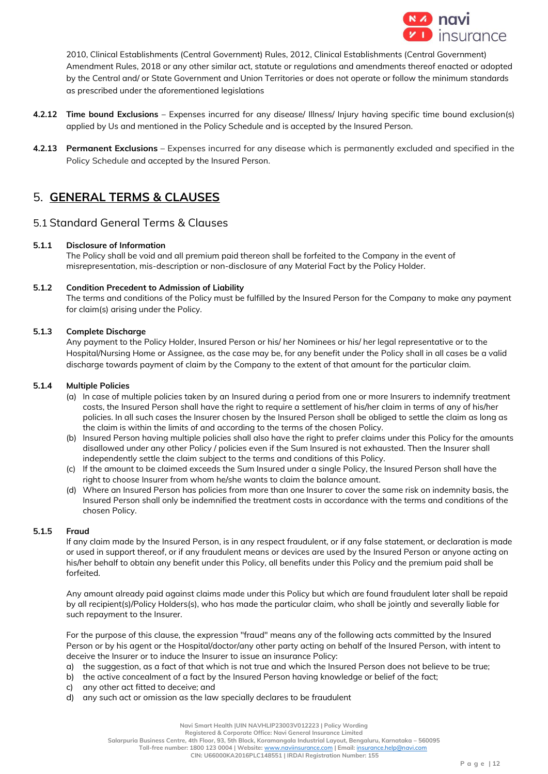

2010, Clinical Establishments (Central Government) Rules, 2012, Clinical Establishments (Central Government) Amendment Rules, 2018 or any other similar act, statute or regulations and amendments thereof enacted or adopted by the Central and/ or State Government and Union Territories or does not operate or follow the minimum standards as prescribed under the aforementioned legislations

- **4.2.12 Time bound Exclusions** Expenses incurred for any disease/ Illness/ Injury having specific time bound exclusion(s) applied by Us and mentioned in the Policy Schedule and is accepted by the Insured Person.
- **4.2.13 Permanent Exclusions** Expenses incurred for any disease which is permanently excluded and specified in the Policy Schedule and accepted by the Insured Person.

# 5. **GENERAL TERMS & CLAUSES**

# 5.1 Standard General Terms & Clauses

## **5.1.1 Disclosure of Information**

The Policy shall be void and all premium paid thereon shall be forfeited to the Company in the event of misrepresentation, mis-description or non-disclosure of any Material Fact by the Policy Holder.

## **5.1.2 Condition Precedent to Admission of Liability**

The terms and conditions of the Policy must be fulfilled by the Insured Person for the Company to make any payment for claim(s) arising under the Policy.

## **5.1.3 Complete Discharge**

Any payment to the Policy Holder, Insured Person or his/ her Nominees or his/ her legal representative or to the Hospital/Nursing Home or Assignee, as the case may be, for any benefit under the Policy shall in all cases be a valid discharge towards payment of claim by the Company to the extent of that amount for the particular claim.

#### **5.1.4 Multiple Policies**

- (a) In case of multiple policies taken by an Insured during a period from one or more Insurers to indemnify treatment costs, the Insured Person shall have the right to require a settlement of his/her claim in terms of any of his/her policies. In all such cases the Insurer chosen by the Insured Person shall be obliged to settle the claim as long as the claim is within the limits of and according to the terms of the chosen Policy.
- (b) Insured Person having multiple policies shall also have the right to prefer claims under this Policy for the amounts disallowed under any other Policy / policies even if the Sum Insured is not exhausted. Then the Insurer shall independently settle the claim subject to the terms and conditions of this Policy.
- (c) If the amount to be claimed exceeds the Sum Insured under a single Policy, the Insured Person shall have the right to choose Insurer from whom he/she wants to claim the balance amount.
- (d) Where an Insured Person has policies from more than one Insurer to cover the same risk on indemnity basis, the Insured Person shall only be indemnified the treatment costs in accordance with the terms and conditions of the chosen Policy.

## **5.1.5 Fraud**

If any claim made by the Insured Person, is in any respect fraudulent, or if any false statement, or declaration is made or used in support thereof, or if any fraudulent means or devices are used by the Insured Person or anyone acting on his/her behalf to obtain any benefit under this Policy, all benefits under this Policy and the premium paid shall be forfeited.

Any amount already paid against claims made under this Policy but which are found fraudulent later shall be repaid by all recipient(s)/Policy Holders(s), who has made the particular claim, who shall be jointly and severally liable for such repayment to the Insurer.

For the purpose of this clause, the expression "fraud" means any of the following acts committed by the Insured Person or by his agent or the Hospital/doctor/any other party acting on behalf of the Insured Person, with intent to deceive the Insurer or to induce the Insurer to issue an insurance Policy:

- a) the suggestion, as a fact of that which is not true and which the Insured Person does not believe to be true;
- b) the active concealment of a fact by the Insured Person having knowledge or belief of the fact;
- c) any other act fitted to deceive; and
- d) any such act or omission as the law specially declares to be fraudulent

**Registered & Corporate Office: Navi General Insurance Limited**

**Salarpuria Business Centre, 4th Floor, 93, 5th Block, Koramangala Industrial Layout, Bengaluru, Karnataka – 560095**

 **Toll-free number: 1800 123 0004 | Website:** [www.naviinsurance.com](http://www.naviinsurance.com/) **| Email:** [insurance.help@navi.com](mailto:insurance.help@navi.com) **CIN: U66000KA2016PLC148551 | IRDAI Registration Number: 155**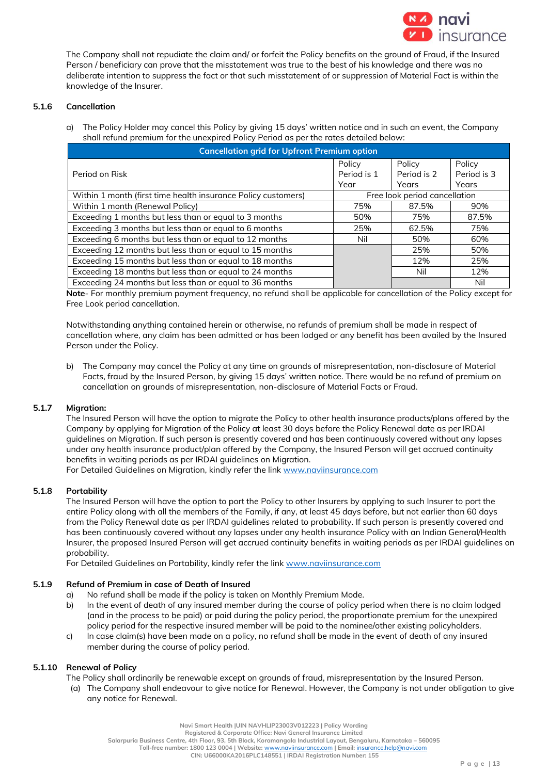

The Company shall not repudiate the claim and/ or forfeit the Policy benefits on the ground of Fraud, if the Insured Person / beneficiary can prove that the misstatement was true to the best of his knowledge and there was no deliberate intention to suppress the fact or that such misstatement of or suppression of Material Fact is within the knowledge of the Insurer.

## **5.1.6 Cancellation**

a) The Policy Holder may cancel this Policy by giving 15 days' written notice and in such an event, the Company shall refund premium for the unexpired Policy Period as per the rates detailed below:

| <b>Cancellation grid for Upfront Premium option</b>           |             |                               |             |
|---------------------------------------------------------------|-------------|-------------------------------|-------------|
|                                                               | Policy      | Policy                        | Policy      |
| Period on Risk                                                | Period is 1 | Period is 2                   | Period is 3 |
|                                                               | Year        | Years                         | Years       |
| Within 1 month (first time health insurance Policy customers) |             | Free look period cancellation |             |
| Within 1 month (Renewal Policy)                               | 75%         | 87.5%                         | 90%         |
| Exceeding 1 months but less than or equal to 3 months         | 50%         | 75%                           | 87.5%       |
| Exceeding 3 months but less than or equal to 6 months         | 25%         | 62.5%                         | 75%         |
| Exceeding 6 months but less than or equal to 12 months        | Nil         | 50%                           | 60%         |
| Exceeding 12 months but less than or equal to 15 months       |             | 25%                           | 50%         |
| Exceeding 15 months but less than or equal to 18 months       |             | 12%                           | 25%         |
| Exceeding 18 months but less than or equal to 24 months       |             | Nil                           | 12%         |
| Exceeding 24 months but less than or equal to 36 months       |             |                               | Nil         |

**Note**- For monthly premium payment frequency, no refund shall be applicable for cancellation of the Policy except for Free Look period cancellation.

Notwithstanding anything contained herein or otherwise, no refunds of premium shall be made in respect of cancellation where, any claim has been admitted or has been lodged or any benefit has been availed by the Insured Person under the Policy.

b) The Company may cancel the Policy at any time on grounds of misrepresentation, non-disclosure of Material Facts, fraud by the Insured Person, by giving 15 days' written notice. There would be no refund of premium on cancellation on grounds of misrepresentation, non-disclosure of Material Facts or Fraud.

## **5.1.7 Migration:**

The Insured Person will have the option to migrate the Policy to other health insurance products/plans offered by the Company by applying for Migration of the Policy at least 30 days before the Policy Renewal date as per IRDAI guidelines on Migration. If such person is presently covered and has been continuously covered without any lapses under any health insurance product/plan offered by the Company, the Insured Person will get accrued continuity benefits in waiting periods as per IRDAI guidelines on Migration.

For Detailed Guidelines on Migration, kindly refer the lin[k www.naviinsurance.com](http://www.naviinsurance.com/)

#### **5.1.8 Portability**

The Insured Person will have the option to port the Policy to other Insurers by applying to such Insurer to port the entire Policy along with all the members of the Family, if any, at least 45 days before, but not earlier than 60 days from the Policy Renewal date as per IRDAI guidelines related to probability. If such person is presently covered and has been continuously covered without any lapses under any health insurance Policy with an Indian General/Health Insurer, the proposed Insured Person will get accrued continuity benefits in waiting periods as per IRDAI guidelines on probability.

For Detailed Guidelines on Portability, kindly refer the lin[k www.naviinsurance.com](http://www.naviinsurance.com/)

#### **5.1.9 Refund of Premium in case of Death of Insured**

- a) No refund shall be made if the policy is taken on Monthly Premium Mode.
- b) In the event of death of any insured member during the course of policy period when there is no claim lodged (and in the process to be paid) or paid during the policy period, the proportionate premium for the unexpired policy period for the respective insured member will be paid to the nominee/other existing policyholders.
- c) In case claim(s) have been made on a policy, no refund shall be made in the event of death of any insured member during the course of policy period.

#### **5.1.10 Renewal of Policy**

- The Policy shall ordinarily be renewable except on grounds of fraud, misrepresentation by the Insured Person.
- (a) The Company shall endeavour to give notice for Renewal. However, the Company is not under obligation to give any notice for Renewal.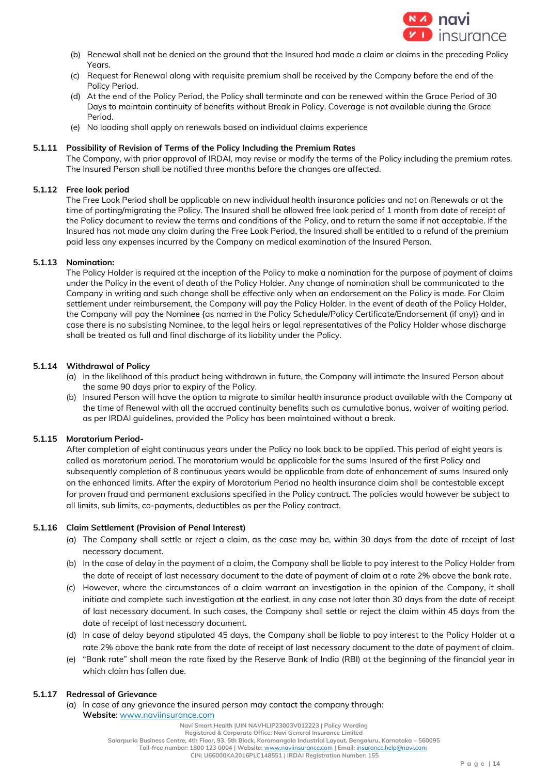

- (b) Renewal shall not be denied on the ground that the Insured had made a claim or claims in the preceding Policy Years.
- (c) Request for Renewal along with requisite premium shall be received by the Company before the end of the Policy Period.
- (d) At the end of the Policy Period, the Policy shall terminate and can be renewed within the Grace Period of 30 Days to maintain continuity of benefits without Break in Policy. Coverage is not available during the Grace Period.
- (e) No loading shall apply on renewals based on individual claims experience

#### **5.1.11 Possibility of Revision of Terms of the Policy Including the Premium Rates**

The Company, with prior approval of IRDAI, may revise or modify the terms of the Policy including the premium rates. The Insured Person shall be notified three months before the changes are affected.

## **5.1.12 Free look period**

The Free Look Period shall be applicable on new individual health insurance policies and not on Renewals or at the time of porting/migrating the Policy. The Insured shall be allowed free look period of 1 month from date of receipt of the Policy document to review the terms and conditions of the Policy, and to return the same if not acceptable. If the Insured has not made any claim during the Free Look Period, the Insured shall be entitled to a refund of the premium paid less any expenses incurred by the Company on medical examination of the Insured Person.

#### **5.1.13 Nomination:**

The Policy Holder is required at the inception of the Policy to make a nomination for the purpose of payment of claims under the Policy in the event of death of the Policy Holder. Any change of nomination shall be communicated to the Company in writing and such change shall be effective only when an endorsement on the Policy is made. For Claim settlement under reimbursement, the Company will pay the Policy Holder. In the event of death of the Policy Holder, the Company will pay the Nominee {as named in the Policy Schedule/Policy Certificate/Endorsement (if any)} and in case there is no subsisting Nominee, to the legal heirs or legal representatives of the Policy Holder whose discharge shall be treated as full and final discharge of its liability under the Policy.

#### **5.1.14 Withdrawal of Policy**

- (a) In the likelihood of this product being withdrawn in future, the Company will intimate the Insured Person about the same 90 days prior to expiry of the Policy.
- (b) Insured Person will have the option to migrate to similar health insurance product available with the Company at the time of Renewal with all the accrued continuity benefits such as cumulative bonus, waiver of waiting period. as per IRDAI guidelines, provided the Policy has been maintained without a break.

## **5.1.15 Moratorium Period-**

After completion of eight continuous years under the Policy no look back to be applied. This period of eight years is called as moratorium period. The moratorium would be applicable for the sums Insured of the first Policy and subsequently completion of 8 continuous years would be applicable from date of enhancement of sums Insured only on the enhanced limits. After the expiry of Moratorium Period no health insurance claim shall be contestable except for proven fraud and permanent exclusions specified in the Policy contract. The policies would however be subject to all limits, sub limits, co-payments, deductibles as per the Policy contract.

## **5.1.16 Claim Settlement (Provision of Penal Interest)**

- (a) The Company shall settle or reject a claim, as the case may be, within 30 days from the date of receipt of last necessary document.
- (b) In the case of delay in the payment of a claim, the Company shall be liable to pay interest to the Policy Holder from the date of receipt of last necessary document to the date of payment of claim at a rate 2% above the bank rate.
- (c) However, where the circumstances of a claim warrant an investigation in the opinion of the Company, it shall initiate and complete such investigation at the earliest, in any case not later than 30 days from the date of receipt of last necessary document. In such cases, the Company shall settle or reject the claim within 45 days from the date of receipt of last necessary document.
- (d) In case of delay beyond stipulated 45 days, the Company shall be liable to pay interest to the Policy Holder at a rate 2% above the bank rate from the date of receipt of last necessary document to the date of payment of claim.
- (e) "Bank rate" shall mean the rate fixed by the Reserve Bank of India (RBI) at the beginning of the financial year in which claim has fallen due.

#### **5.1.17 Redressal of Grievance**

(a) ln case of any grievance the insured person may contact the company through: **Website**: www.naviinsurance.com

**Registered & Corporate Office: Navi General Insurance Limited**

**Salarpuria Business Centre, 4th Floor, 93, 5th Block, Koramangala Industrial Layout, Bengaluru, Karnataka – 560095**

 **Toll-free number: 1800 123 0004 | Website:** [www.naviinsurance.com](http://www.naviinsurance.com/) **| Email:** [insurance.help@navi.com](mailto:insurance.help@navi.com)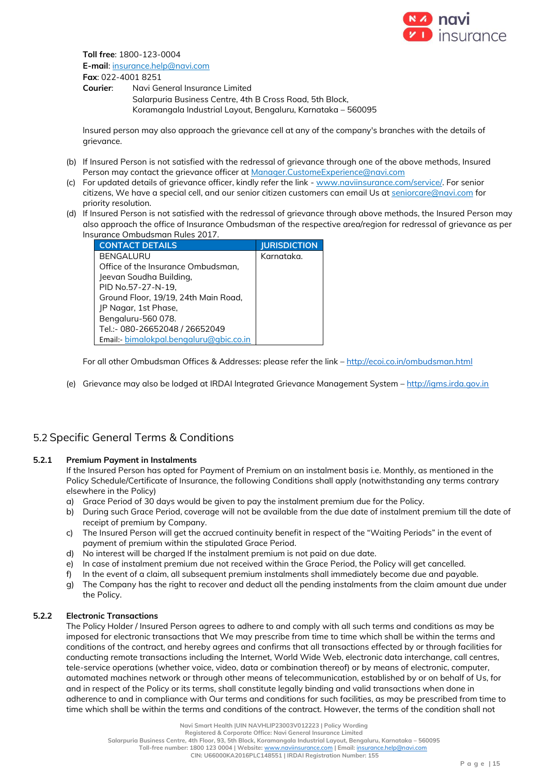

**Toll free**: 1800-123-0004 **E-mail**: insurance.help@navi.com **Fax**: 022-4001 8251

**Courier**: Navi General Insurance Limited Salarpuria Business Centre, 4th B Cross Road, 5th Block, Koramangala Industrial Layout, Bengaluru, Karnataka – 560095

lnsured person may also approach the grievance cell at any of the company's branches with the details of grievance.

- (b) If Insured Person is not satisfied with the redressal of grievance through one of the above methods, Insured Person may contact the grievance officer at Manager.CustomeExperience@navi.com
- (c) For updated details of grievance officer, kindly refer the link www.naviinsurance.com/service/. For senior citizens, We have a special cell, and our senior citizen customers can email Us at seniorcare@navi.com for priority resolution.
- (d) If Insured Person is not satisfied with the redressal of grievance through above methods, the Insured Person may also approach the office of Insurance Ombudsman of the respective area/region for redressal of grievance as per Insurance Ombudsman Rules 2017.

| <b>CONTACT DETAILS</b>                  | <b>JURISDICTION</b> |
|-----------------------------------------|---------------------|
| BENGALURU                               | Karnataka.          |
| Office of the Insurance Ombudsman,      |                     |
| Jeevan Soudha Building,                 |                     |
| PID No.57-27-N-19,                      |                     |
| Ground Floor, 19/19, 24th Main Road,    |                     |
| JP Nagar, 1st Phase,                    |                     |
| Bengaluru-560 078.                      |                     |
| Tel.:- 080-26652048 / 26652049          |                     |
| Email:- bimalokpal.bengaluru@qbic.co.in |                     |

For all other Ombudsman Offices & Addresses: please refer the link – <http://ecoi.co.in/ombudsman.html>

(e) Grievance may also be lodged at IRDAI lntegrated Grievance Management System – [http://igms.irda.gov.in](http://igms.irda.gov.in/)

# 5.2 Specific General Terms & Conditions

## **5.2.1 Premium Payment in Instalments**

If the Insured Person has opted for Payment of Premium on an instalment basis i.e. Monthly, as mentioned in the Policy Schedule/Certificate of Insurance, the following Conditions shall apply (notwithstanding any terms contrary elsewhere in the Policy)

- a) Grace Period of 30 days would be given to pay the instalment premium due for the Policy.
- b) During such Grace Period, coverage will not be available from the due date of instalment premium till the date of receipt of premium by Company.
- c) The Insured Person will get the accrued continuity benefit in respect of the "Waiting Periods" in the event of payment of premium within the stipulated Grace Period.
- d) No interest will be charged If the instalment premium is not paid on due date.
- e) In case of instalment premium due not received within the Grace Period, the Policy will get cancelled.
- f) In the event of a claim, all subsequent premium instalments shall immediately become due and payable.
- g) The Company has the right to recover and deduct all the pending instalments from the claim amount due under the Policy.

## **5.2.2 Electronic Transactions**

The Policy Holder / Insured Person agrees to adhere to and comply with all such terms and conditions as may be imposed for electronic transactions that We may prescribe from time to time which shall be within the terms and conditions of the contract, and hereby agrees and confirms that all transactions effected by or through facilities for conducting remote transactions including the Internet, World Wide Web, electronic data interchange, call centres, tele-service operations (whether voice, video, data or combination thereof) or by means of electronic, computer, automated machines network or through other means of telecommunication, established by or on behalf of Us, for and in respect of the Policy or its terms, shall constitute legally binding and valid transactions when done in adherence to and in compliance with Our terms and conditions for such facilities, as may be prescribed from time to time which shall be within the terms and conditions of the contract. However, the terms of the condition shall not

**Navi Smart Health |UIN NAVHLIP23003V012223 | Policy Wording**

**Registered & Corporate Office: Navi General Insurance Limited**

**Salarpuria Business Centre, 4th Floor, 93, 5th Block, Koramangala Industrial Layout, Bengaluru, Karnataka – 560095**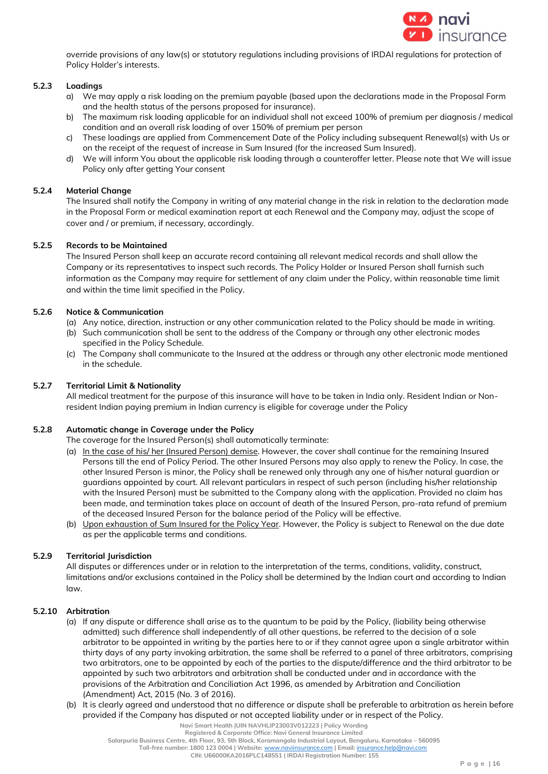

override provisions of any law(s) or statutory regulations including provisions of IRDAI regulations for protection of Policy Holder's interests.

## **5.2.3 Loadings**

- a) We may apply a risk loading on the premium payable (based upon the declarations made in the Proposal Form and the health status of the persons proposed for insurance).
- b) The maximum risk loading applicable for an individual shall not exceed 100% of premium per diagnosis / medical condition and an overall risk loading of over 150% of premium per person
- c) These loadings are applied from Commencement Date of the Policy including subsequent Renewal(s) with Us or on the receipt of the request of increase in Sum Insured (for the increased Sum Insured).
- d) We will inform You about the applicable risk loading through a counteroffer letter. Please note that We will issue Policy only after getting Your consent

#### **5.2.4 Material Change**

The Insured shall notify the Company in writing of any material change in the risk in relation to the declaration made in the Proposal Form or medical examination report at each Renewal and the Company may, adjust the scope of cover and / or premium, if necessary, accordingly.

#### **5.2.5 Records to be Maintained**

The Insured Person shall keep an accurate record containing all relevant medical records and shall allow the Company or its representatives to inspect such records. The Policy Holder or Insured Person shall furnish such information as the Company may require for settlement of any claim under the Policy, within reasonable time limit and within the time limit specified in the Policy.

#### **5.2.6 Notice & Communication**

- (a) Any notice, direction, instruction or any other communication related to the Policy should be made in writing.
- (b) Such communication shall be sent to the address of the Company or through any other electronic modes specified in the Policy Schedule.
- (c) The Company shall communicate to the Insured at the address or through any other electronic mode mentioned in the schedule.

#### **5.2.7 Territorial Limit & Nationality**

All medical treatment for the purpose of this insurance will have to be taken in India only. Resident Indian or Nonresident Indian paying premium in Indian currency is eligible for coverage under the Policy

## **5.2.8 Automatic change in Coverage under the Policy**

The coverage for the Insured Person(s) shall automatically terminate:

- (a) In the case of his/ her (Insured Person) demise. However, the cover shall continue for the remaining Insured Persons till the end of Policy Period. The other Insured Persons may also apply to renew the Policy. In case, the other Insured Person is minor, the Policy shall be renewed only through any one of his/her natural guardian or guardians appointed by court. All relevant particulars in respect of such person (including his/her relationship with the Insured Person) must be submitted to the Company along with the application. Provided no claim has been made, and termination takes place on account of death of the Insured Person, pro-rata refund of premium of the deceased Insured Person for the balance period of the Policy will be effective.
- (b) Upon exhaustion of Sum Insured for the Policy Year. However, the Policy is subject to Renewal on the due date as per the applicable terms and conditions.

# **5.2.9 Territorial Jurisdiction**

All disputes or differences under or in relation to the interpretation of the terms, conditions, validity, construct, limitations and/or exclusions contained in the Policy shall be determined by the Indian court and according to Indian law.

#### **5.2.10 Arbitration**

- (a) If any dispute or difference shall arise as to the quantum to be paid by the Policy, (liability being otherwise admitted) such difference shall independently of all other questions, be referred to the decision of a sole arbitrator to be appointed in writing by the parties here to or if they cannot agree upon a single arbitrator within thirty days of any party invoking arbitration, the same shall be referred to a panel of three arbitrators, comprising two arbitrators, one to be appointed by each of the parties to the dispute/difference and the third arbitrator to be appointed by such two arbitrators and arbitration shall be conducted under and in accordance with the provisions of the Arbitration and Conciliation Act 1996, as amended by Arbitration and Conciliation (Amendment) Act, 2015 (No. 3 of 2016).
- (b) It is clearly agreed and understood that no difference or dispute shall be preferable to arbitration as herein before provided if the Company has disputed or not accepted liability under or in respect of the Policy.

**Salarpuria Business Centre, 4th Floor, 93, 5th Block, Koramangala Industrial Layout, Bengaluru, Karnataka – 560095**

**Toll-free number: 1800 123 0004 | Website:** [www.naviinsurance.com](http://www.naviinsurance.com/) **| Email:** [insurance.help@navi.com](mailto:insurance.help@navi.com)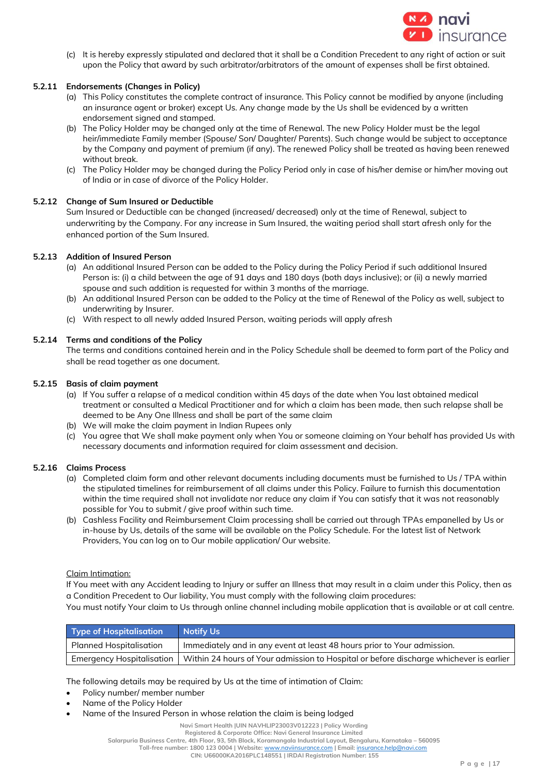

(c) It is hereby expressly stipulated and declared that it shall be a Condition Precedent to any right of action or suit upon the Policy that award by such arbitrator/arbitrators of the amount of expenses shall be first obtained.

# **5.2.11 Endorsements (Changes in Policy)**

- (a) This Policy constitutes the complete contract of insurance. This Policy cannot be modified by anyone (including an insurance agent or broker) except Us. Any change made by the Us shall be evidenced by a written endorsement signed and stamped.
- (b) The Policy Holder may be changed only at the time of Renewal. The new Policy Holder must be the legal heir/immediate Family member (Spouse/ Son/ Daughter/ Parents). Such change would be subject to acceptance by the Company and payment of premium (if any). The renewed Policy shall be treated as having been renewed without break.
- (c) The Policy Holder may be changed during the Policy Period only in case of his/her demise or him/her moving out of India or in case of divorce of the Policy Holder.

# **5.2.12 Change of Sum Insured or Deductible**

Sum Insured or Deductible can be changed (increased/ decreased) only at the time of Renewal, subject to underwriting by the Company. For any increase in Sum Insured, the waiting period shall start afresh only for the enhanced portion of the Sum Insured.

# **5.2.13 Addition of Insured Person**

- (a) An additional Insured Person can be added to the Policy during the Policy Period if such additional Insured Person is: (i) a child between the age of 91 days and 180 days (both days inclusive); or (ii) a newly married spouse and such addition is requested for within 3 months of the marriage.
- (b) An additional Insured Person can be added to the Policy at the time of Renewal of the Policy as well, subject to underwriting by Insurer.
- (c) With respect to all newly added Insured Person, waiting periods will apply afresh

## **5.2.14 Terms and conditions of the Policy**

The terms and conditions contained herein and in the Policy Schedule shall be deemed to form part of the Policy and shall be read together as one document.

# **5.2.15 Basis of claim payment**

- (a) If You suffer a relapse of a medical condition within 45 days of the date when You last obtained medical treatment or consulted a Medical Practitioner and for which a claim has been made, then such relapse shall be deemed to be Any One Illness and shall be part of the same claim
- (b) We will make the claim payment in Indian Rupees only
- (c) You agree that We shall make payment only when You or someone claiming on Your behalf has provided Us with necessary documents and information required for claim assessment and decision.

## **5.2.16 Claims Process**

- (a) Completed claim form and other relevant documents including documents must be furnished to Us / TPA within the stipulated timelines for reimbursement of all claims under this Policy. Failure to furnish this documentation within the time required shall not invalidate nor reduce any claim if You can satisfy that it was not reasonably possible for You to submit / give proof within such time.
- (b) Cashless Facility and Reimbursement Claim processing shall be carried out through TPAs empanelled by Us or in-house by Us, details of the same will be available on the Policy Schedule. For the latest list of Network Providers, You can log on to Our mobile application/ Our website.

## Claim Intimation:

If You meet with any Accident leading to Injury or suffer an Illness that may result in a claim under this Policy, then as a Condition Precedent to Our liability, You must comply with the following claim procedures: You must notify Your claim to Us through online channel including mobile application that is available or at call centre.

| Type of Hospitalisation | Notify Us                                                                                                          |
|-------------------------|--------------------------------------------------------------------------------------------------------------------|
| Planned Hospitalisation | Immediately and in any event at least 48 hours prior to Your admission.                                            |
|                         | Emergency Hospitalisation   Within 24 hours of Your admission to Hospital or before discharge whichever is earlier |

The following details may be required by Us at the time of intimation of Claim:

- Policy number/ member number
- Name of the Policy Holder
- Name of the Insured Person in whose relation the claim is being lodged

**Navi Smart Health |UIN NAVHLIP23003V012223 | Policy Wording**

**Registered & Corporate Office: Navi General Insurance Limited**

**Salarpuria Business Centre, 4th Floor, 93, 5th Block, Koramangala Industrial Layout, Bengaluru, Karnataka – 560095**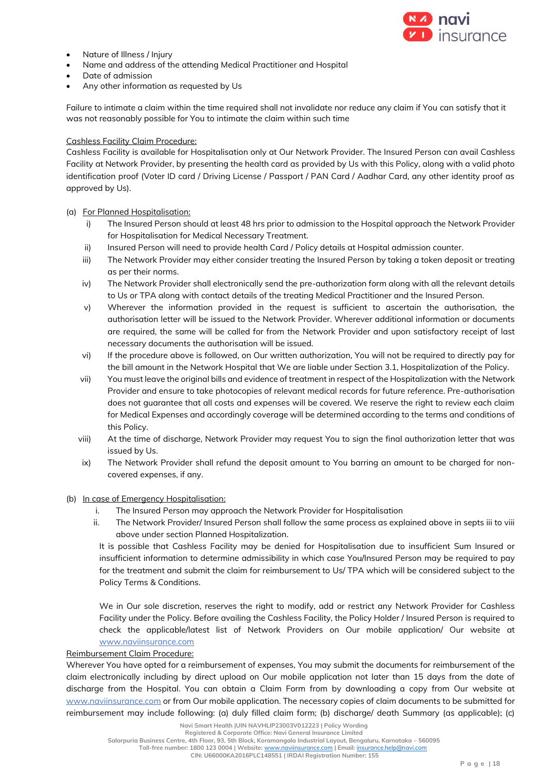

- Nature of Illness / Injury
- Name and address of the attending Medical Practitioner and Hospital
- Date of admission
- Any other information as requested by Us

Failure to intimate a claim within the time required shall not invalidate nor reduce any claim if You can satisfy that it was not reasonably possible for You to intimate the claim within such time

#### Cashless Facility Claim Procedure:

Cashless Facility is available for Hospitalisation only at Our Network Provider. The Insured Person can avail Cashless Facility at Network Provider, by presenting the health card as provided by Us with this Policy, along with a valid photo identification proof (Voter ID card / Driving License / Passport / PAN Card / Aadhar Card, any other identity proof as approved by Us).

#### (a) For Planned Hospitalisation:

- i) The Insured Person should at least 48 hrs prior to admission to the Hospital approach the Network Provider for Hospitalisation for Medical Necessary Treatment.
- ii) Insured Person will need to provide health Card / Policy details at Hospital admission counter.
- iii) The Network Provider may either consider treating the Insured Person by taking a token deposit or treating as per their norms.
- iv) The Network Provider shall electronically send the pre-authorization form along with all the relevant details to Us or TPA along with contact details of the treating Medical Practitioner and the Insured Person.
- v) Wherever the information provided in the request is sufficient to ascertain the authorisation, the authorisation letter will be issued to the Network Provider. Wherever additional information or documents are required, the same will be called for from the Network Provider and upon satisfactory receipt of last necessary documents the authorisation will be issued.
- vi) If the procedure above is followed, on Our written authorization, You will not be required to directly pay for the bill amount in the Network Hospital that We are liable under Section 3.1, Hospitalization of the Policy.
- vii) You must leave the original bills and evidence of treatment in respect of the Hospitalization with the Network Provider and ensure to take photocopies of relevant medical records for future reference. Pre-authorisation does not guarantee that all costs and expenses will be covered. We reserve the right to review each claim for Medical Expenses and accordingly coverage will be determined according to the terms and conditions of this Policy.
- viii) At the time of discharge, Network Provider may request You to sign the final authorization letter that was issued by Us.
- ix) The Network Provider shall refund the deposit amount to You barring an amount to be charged for noncovered expenses, if any.

#### (b) In case of Emergency Hospitalisation:

- i. The Insured Person may approach the Network Provider for Hospitalisation
- ii. The Network Provider/ Insured Person shall follow the same process as explained above in septs iii to viii above under section Planned Hospitalization.

It is possible that Cashless Facility may be denied for Hospitalisation due to insufficient Sum Insured or insufficient information to determine admissibility in which case You/Insured Person may be required to pay for the treatment and submit the claim for reimbursement to Us/ TPA which will be considered subject to the Policy Terms & Conditions.

We in Our sole discretion, reserves the right to modify, add or restrict any Network Provider for Cashless Facility under the Policy. Before availing the Cashless Facility, the Policy Holder / Insured Person is required to check the applicable/latest list of Network Providers on Our mobile application/ Our website at [www.naviinsurance.com](http://www.naviinsurance.com/)

#### Reimbursement Claim Procedure:

Wherever You have opted for a reimbursement of expenses, You may submit the documents for reimbursement of the claim electronically including by direct upload on Our mobile application not later than 15 days from the date of discharge from the Hospital. You can obtain a Claim Form from by downloading a copy from Our website at [www.naviinsurance.com](http://www.naviinsurance.com/) or from Our mobile application. The necessary copies of claim documents to be submitted for reimbursement may include following: (a) duly filled claim form; (b) discharge/ death Summary (as applicable); (c)

**Registered & Corporate Office: Navi General Insurance Limited**

**Salarpuria Business Centre, 4th Floor, 93, 5th Block, Koramangala Industrial Layout, Bengaluru, Karnataka – 560095 Toll-free number: 1800 123 0004 | Website:** [www.naviinsurance.com](http://www.naviinsurance.com/) **| Email:** [insurance.help@navi.com](mailto:insurance.help@navi.com)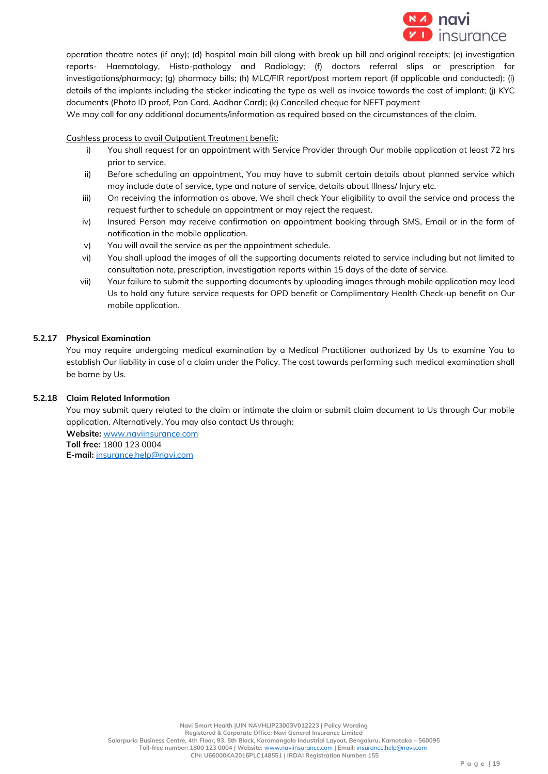

operation theatre notes (if any); (d) hospital main bill along with break up bill and original receipts; (e) investigation reports- Haematology, Histo-pathology and Radiology; (f) doctors referral slips or prescription for investigations/pharmacy; (g) pharmacy bills; (h) MLC/FIR report/post mortem report (if applicable and conducted); (i) details of the implants including the sticker indicating the type as well as invoice towards the cost of implant; (j) KYC documents (Photo ID proof, Pan Card, Aadhar Card); (k) Cancelled cheque for NEFT payment

We may call for any additional documents/information as required based on the circumstances of the claim.

#### Cashless process to avail Outpatient Treatment benefit:

- i) You shall request for an appointment with Service Provider through Our mobile application at least 72 hrs prior to service.
- ii) Before scheduling an appointment, You may have to submit certain details about planned service which may include date of service, type and nature of service, details about Illness/ Injury etc.
- iii) On receiving the information as above, We shall check Your eligibility to avail the service and process the request further to schedule an appointment or may reject the request.
- iv) Insured Person may receive confirmation on appointment booking through SMS, Email or in the form of notification in the mobile application.
- v) You will avail the service as per the appointment schedule.
- vi) You shall upload the images of all the supporting documents related to service including but not limited to consultation note, prescription, investigation reports within 15 days of the date of service.
- vii) Your failure to submit the supporting documents by uploading images through mobile application may lead Us to hold any future service requests for OPD benefit or Complimentary Health Check-up benefit on Our mobile application.

#### **5.2.17 Physical Examination**

You may require undergoing medical examination by a Medical Practitioner authorized by Us to examine You to establish Our liability in case of a claim under the Policy. The cost towards performing such medical examination shall be borne by Us.

#### **5.2.18 Claim Related Information**

You may submit query related to the claim or intimate the claim or submit claim document to Us through Our mobile application. Alternatively, You may also contact Us through:

**Website:** www.naviinsurance.com **Toll free:** 1800 123 0004 **E-mail:** insurance.help@navi.com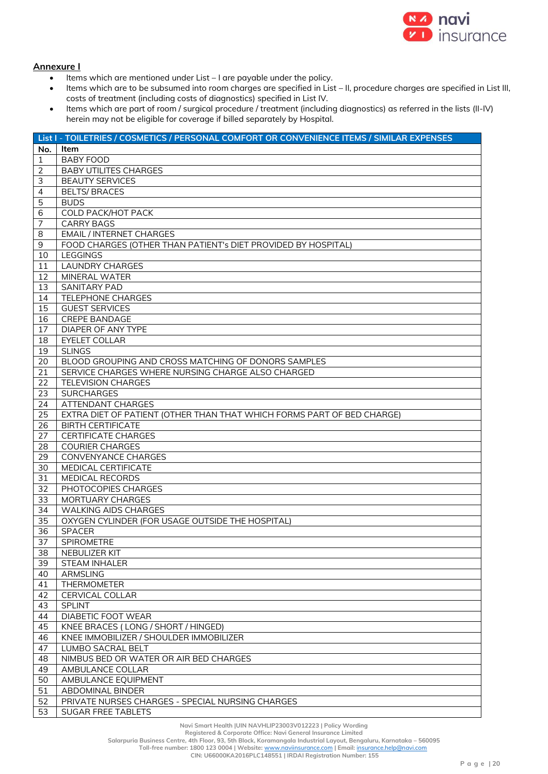

# **Annexure I**

- $\bullet$  Items which are mentioned under List I are payable under the policy.
- Items which are to be subsumed into room charges are specified in List II, procedure charges are specified in List III, costs of treatment (including costs of diagnostics) specified in List IV.
- Items which are part of room / surgical procedure / treatment (including diagnostics) as referred in the lists (II-IV) herein may not be eligible for coverage if billed separately by Hospital.

|                | List I - TOILETRIES / COSMETICS / PERSONAL COMFORT OR CONVENIENCE ITEMS / SIMILAR EXPENSES |
|----------------|--------------------------------------------------------------------------------------------|
| No.            | Item                                                                                       |
| $\mathbf{1}$   | <b>BABY FOOD</b>                                                                           |
| 2              | <b>BABY UTILITES CHARGES</b>                                                               |
| 3              | <b>BEAUTY SERVICES</b>                                                                     |
| $\overline{4}$ | <b>BELTS/BRACES</b>                                                                        |
| 5              | <b>BUDS</b>                                                                                |
| 6              | <b>COLD PACK/HOT PACK</b>                                                                  |
| 7              | <b>CARRY BAGS</b>                                                                          |
| 8              | <b>EMAIL / INTERNET CHARGES</b>                                                            |
| 9              | FOOD CHARGES (OTHER THAN PATIENT's DIET PROVIDED BY HOSPITAL)                              |
| 10             | <b>LEGGINGS</b>                                                                            |
| 11             | <b>LAUNDRY CHARGES</b>                                                                     |
| 12             | MINERAL WATER                                                                              |
| 13             | <b>SANITARY PAD</b>                                                                        |
| 14             | <b>TELEPHONE CHARGES</b>                                                                   |
| 15             | <b>GUEST SERVICES</b>                                                                      |
| 16             | <b>CREPE BANDAGE</b>                                                                       |
| 17             | DIAPER OF ANY TYPE                                                                         |
| 18             | <b>EYELET COLLAR</b>                                                                       |
| 19             | <b>SLINGS</b>                                                                              |
| 20             | BLOOD GROUPING AND CROSS MATCHING OF DONORS SAMPLES                                        |
| 21             | SERVICE CHARGES WHERE NURSING CHARGE ALSO CHARGED                                          |
| 22             | <b>TELEVISION CHARGES</b>                                                                  |
| 23             | <b>SURCHARGES</b>                                                                          |
| 24             | ATTENDANT CHARGES                                                                          |
| 25             | EXTRA DIET OF PATIENT (OTHER THAN THAT WHICH FORMS PART OF BED CHARGE)                     |
| 26             | <b>BIRTH CERTIFICATE</b>                                                                   |
| 27             | <b>CERTIFICATE CHARGES</b>                                                                 |
| 28             | <b>COURIER CHARGES</b>                                                                     |
| 29             | CONVENYANCE CHARGES                                                                        |
| 30             | MEDICAL CERTIFICATE                                                                        |
| 31             | MEDICAL RECORDS                                                                            |
| 32             | PHOTOCOPIES CHARGES                                                                        |
| 33             | <b>MORTUARY CHARGES</b>                                                                    |
| 34             | <b>WALKING AIDS CHARGES</b>                                                                |
| 35             | OXYGEN CYLINDER (FOR USAGE OUTSIDE THE HOSPITAL)                                           |
| 36             | <b>SPACER</b>                                                                              |
| 37             | SPIROMETRE                                                                                 |
| 38             | NEBULIZER KIT                                                                              |
| 39             | <b>STEAM INHALER</b>                                                                       |
| 40             | ARMSLING                                                                                   |
| 41             | <b>THERMOMETER</b>                                                                         |
| 42             | CERVICAL COLLAR                                                                            |
| 43             | <b>SPLINT</b>                                                                              |
| 44             | DIABETIC FOOT WEAR                                                                         |
| 45             | KNEE BRACES (LONG / SHORT / HINGED)                                                        |
| 46             | KNEE IMMOBILIZER / SHOULDER IMMOBILIZER                                                    |
| 47             | LUMBO SACRAL BELT                                                                          |
| 48             | NIMBUS BED OR WATER OR AIR BED CHARGES                                                     |
| 49             | AMBULANCE COLLAR                                                                           |
| 50             | AMBULANCE EQUIPMENT                                                                        |
| 51             | ABDOMINAL BINDER                                                                           |
| 52             | PRIVATE NURSES CHARGES - SPECIAL NURSING CHARGES                                           |
| 53             | SUGAR FREE TABLETS                                                                         |

**Registered & Corporate Office: Navi General Insurance Limited**

**Salarpuria Business Centre, 4th Floor, 93, 5th Block, Koramangala Industrial Layout, Bengaluru, Karnataka – 560095**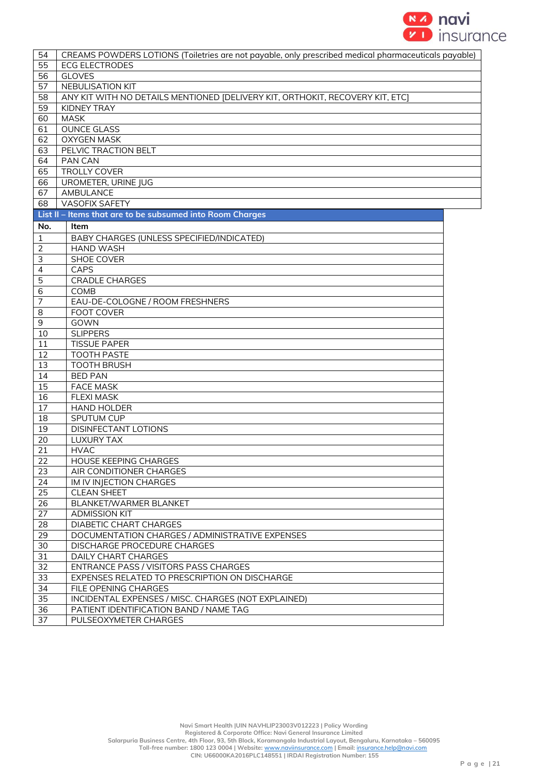

| 54                       | CREAMS POWDERS LOTIONS (Toiletries are not payable, only prescribed medical pharmaceuticals payable) |  |
|--------------------------|------------------------------------------------------------------------------------------------------|--|
| 55                       | <b>ECG ELECTRODES</b>                                                                                |  |
| 56                       | <b>GLOVES</b>                                                                                        |  |
| 57                       | NEBULISATION KIT                                                                                     |  |
| 58                       | ANY KIT WITH NO DETAILS MENTIONED [DELIVERY KIT, ORTHOKIT, RECOVERY KIT, ETC]                        |  |
| 59                       | KIDNEY TRAY                                                                                          |  |
| 60                       | <b>MASK</b>                                                                                          |  |
| 61                       | <b>OUNCE GLASS</b>                                                                                   |  |
| 62                       | <b>OXYGEN MASK</b>                                                                                   |  |
| 63                       | PELVIC TRACTION BELT                                                                                 |  |
| 64                       | PAN CAN                                                                                              |  |
| 65                       | <b>TROLLY COVER</b>                                                                                  |  |
| 66                       | UROMETER, URINE JUG                                                                                  |  |
| 67                       | AMBULANCE                                                                                            |  |
| 68                       | <b>VASOFIX SAFETY</b>                                                                                |  |
|                          | List II - Items that are to be subsumed into Room Charges                                            |  |
|                          |                                                                                                      |  |
| No.                      | Item                                                                                                 |  |
| 1                        | BABY CHARGES (UNLESS SPECIFIED/INDICATED)                                                            |  |
| $\overline{2}$           | <b>HAND WASH</b>                                                                                     |  |
| $\mathsf 3$              | <b>SHOE COVER</b>                                                                                    |  |
| $\overline{\mathcal{L}}$ | CAPS                                                                                                 |  |
| 5                        | <b>CRADLE CHARGES</b>                                                                                |  |
| 6                        | COMB                                                                                                 |  |
| $\overline{7}$           | EAU-DE-COLOGNE / ROOM FRESHNERS                                                                      |  |
| 8                        | FOOT COVER                                                                                           |  |
| $\mathsf 9$              | GOWN                                                                                                 |  |
| 10                       | <b>SLIPPERS</b>                                                                                      |  |
| 11                       | <b>TISSUE PAPER</b>                                                                                  |  |
| 12                       | <b>TOOTH PASTE</b>                                                                                   |  |
| 13                       | <b>TOOTH BRUSH</b>                                                                                   |  |
| 14                       | <b>BED PAN</b>                                                                                       |  |
| 15                       | <b>FACE MASK</b>                                                                                     |  |
| 16                       | <b>FLEXI MASK</b>                                                                                    |  |
| 17                       | <b>HAND HOLDER</b>                                                                                   |  |
| 18                       | SPUTUM CUP                                                                                           |  |
| 19                       | DISINFECTANT LOTIONS                                                                                 |  |
| 20                       | <b>LUXURY TAX</b>                                                                                    |  |
| 21                       | <b>HVAC</b>                                                                                          |  |
| 22                       | HOUSE KEEPING CHARGES                                                                                |  |
| 23                       | AIR CONDITIONER CHARGES                                                                              |  |
| 24                       | IM IV INJECTION CHARGES                                                                              |  |
| 25                       | <b>CLEAN SHEET</b>                                                                                   |  |
| 26                       | BLANKET/WARMER BLANKET                                                                               |  |
| 27                       | <b>ADMISSION KIT</b>                                                                                 |  |
| 28                       | DIABETIC CHART CHARGES                                                                               |  |
| 29                       | DOCUMENTATION CHARGES / ADMINISTRATIVE EXPENSES                                                      |  |
| 30                       | <b>DISCHARGE PROCEDURE CHARGES</b>                                                                   |  |
| 31                       | <b>DAILY CHART CHARGES</b>                                                                           |  |
| 32                       | ENTRANCE PASS / VISITORS PASS CHARGES                                                                |  |
| 33                       | EXPENSES RELATED TO PRESCRIPTION ON DISCHARGE                                                        |  |
| 34                       | FILE OPENING CHARGES                                                                                 |  |
| 35                       | INCIDENTAL EXPENSES / MISC. CHARGES (NOT EXPLAINED)                                                  |  |
| 36                       | PATIENT IDENTIFICATION BAND / NAME TAG                                                               |  |
| 37                       | PULSEOXYMETER CHARGES                                                                                |  |
|                          |                                                                                                      |  |

**Navi Smart Health |UIN NAVHLIP23003V012223 | Policy Wording**

**Registered & Corporate Office: Navi General Insurance Limited**

**Salarpuria Business Centre, 4th Floor, 93, 5th Block, Koramangala Industrial Layout, Bengaluru, Karnataka – 560095**